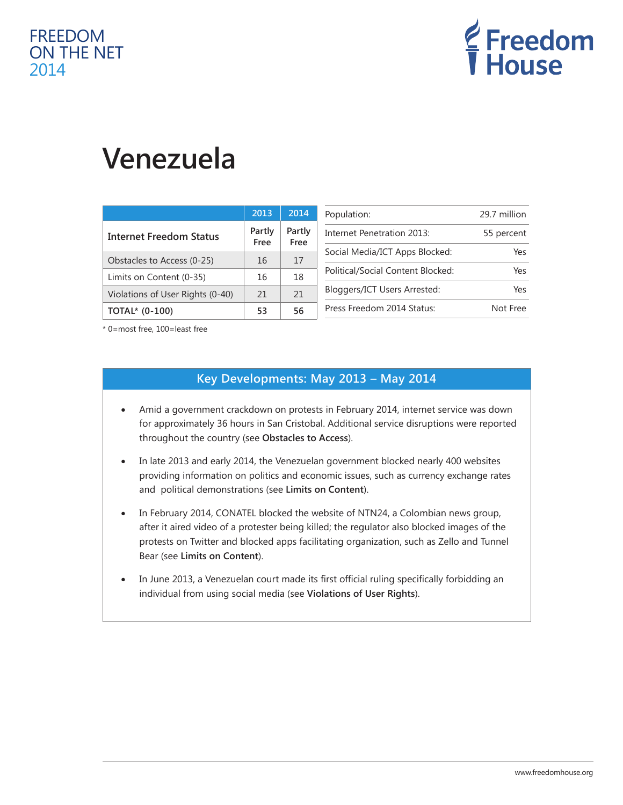## FREEDOM ON THE NET 2014



# **Venezuela**

|                                  | 2013           | 2014           |
|----------------------------------|----------------|----------------|
| <b>Internet Freedom Status</b>   | Partly<br>Free | Partly<br>Free |
| Obstacles to Access (0-25)       | 16             | 17             |
| Limits on Content (0-35)         | 16             | 18             |
| Violations of User Rights (0-40) | 21             | 21             |
| TOTAL* (0-100)                   | 53             | 56             |

| Population:                       | 29.7 million |
|-----------------------------------|--------------|
| Internet Penetration 2013:        | 55 percent   |
| Social Media/ICT Apps Blocked:    | Yes          |
| Political/Social Content Blocked: | Yes          |
| Bloggers/ICT Users Arrested:      | Yes          |
| Press Freedom 2014 Status:        | Not Free     |

\* 0=most free, 100=least free

#### **Key Developments: May 2013 – May 2014**

- Amid a government crackdown on protests in February 2014, internet service was down for approximately 36 hours in San Cristobal. Additional service disruptions were reported throughout the country (see **Obstacles to Access**).
- In late 2013 and early 2014, the Venezuelan government blocked nearly 400 websites providing information on politics and economic issues, such as currency exchange rates and political demonstrations (see **Limits on Content**).
- In February 2014, CONATEL blocked the website of NTN24, a Colombian news group, after it aired video of a protester being killed; the regulator also blocked images of the protests on Twitter and blocked apps facilitating organization, such as Zello and Tunnel Bear (see **Limits on Content**).
- In June 2013, a Venezuelan court made its first official ruling specifically forbidding an individual from using social media (see **Violations of User Rights**).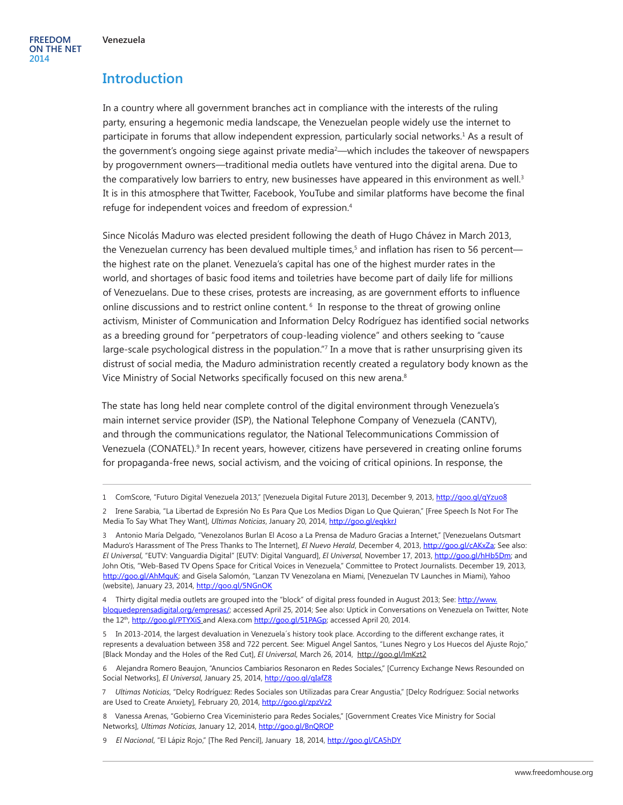#### **Introduction**

In a country where all government branches act in compliance with the interests of the ruling party, ensuring a hegemonic media landscape, the Venezuelan people widely use the internet to participate in forums that allow independent expression, particularly social networks.<sup>1</sup> As a result of the government's ongoing siege against private media2 —which includes the takeover of newspapers by progovernment owners—traditional media outlets have ventured into the digital arena. Due to the comparatively low barriers to entry, new businesses have appeared in this environment as well.<sup>3</sup> It is in this atmosphere that Twitter, Facebook, YouTube and similar platforms have become the final refuge for independent voices and freedom of expression.4

Since Nicolás Maduro was elected president following the death of Hugo Chávez in March 2013, the Venezuelan currency has been devalued multiple times,<sup>5</sup> and inflation has risen to 56 percent the highest rate on the planet. Venezuela's capital has one of the highest murder rates in the world, and shortages of basic food items and toiletries have become part of daily life for millions of Venezuelans. Due to these crises, protests are increasing, as are government efforts to influence online discussions and to restrict online content. <sup>6</sup> In response to the threat of growing online activism, Minister of Communication and Information Delcy Rodríguez has identified social networks as a breeding ground for "perpetrators of coup-leading violence" and others seeking to "cause large-scale psychological distress in the population."<sup>7</sup> In a move that is rather unsurprising given its distrust of social media, the Maduro administration recently created a regulatory body known as the Vice Ministry of Social Networks specifically focused on this new arena.<sup>8</sup>

The state has long held near complete control of the digital environment through Venezuela's main internet service provider (ISP), the National Telephone Company of Venezuela (CANTV), and through the communications regulator, the National Telecommunications Commission of Venezuela (CONATEL).<sup>9</sup> In recent years, however, citizens have persevered in creating online forums for propaganda-free news, social activism, and the voicing of critical opinions. In response, the

3 Antonio María Delgado, "Venezolanos Burlan El Acoso a La Prensa de Maduro Gracias a Internet," [Venezuelans Outsmart Maduro's Harassment of The Press Thanks to The Internet], *El Nuevo Herald*, December 4, 2013, [http://goo.gl/cAKxZa;](http://goo.gl/cAKxZa) See also: *El Universal*, "EUTV: Vanguardia Digital" [EUTV: Digital Vanguard], *El Universal*, November 17, 2013,<http://goo.gl/hHb5Dm>; and John Otis, "Web-Based TV Opens Space for Critical Voices in Venezuela," Committee to Protect Journalists. December 19, 2013, <http://goo.gl/AhMquK>; and Gisela Salomón, "Lanzan TV Venezolana en Miami, [Venezuelan TV Launches in Miami), Yahoo (website), January 23, 2014,<http://goo.gl/5NGnOK>

4 Thirty digital media outlets are grouped into the "block" of digital press founded in August 2013; See: [http://www.](http://www.bloquedeprensadigital.org/empresas/) [bloquedeprensadigital.org/empresas/;](http://www.bloquedeprensadigital.org/empresas/) accessed April 25, 2014; See also: Uptick in Conversations on Venezuela on Twitter, Note the 12<sup>th</sup>, <http://goo.gl/PTYXiS> and Alexa.com <http://goo.gl/51PAGp>; accessed April 20, 2014.

5 In 2013-2014, the largest devaluation in Venezuela´s history took place. According to the different exchange rates, it represents a devaluation between 358 and 722 percent. See: Miguel Angel Santos, "Lunes Negro y Los Huecos del Ajuste Rojo," [Black Monday and the Holes of the Red Cut], *El Universal*, March 26, 2014, <http://goo.gl/lmKzt2>

6 Alejandra Romero Beaujon, "Anuncios Cambiarios Resonaron en Redes Sociales," [Currency Exchange News Resounded on Social Networks], *El Universal*, January 25, 2014,<http://goo.gl/qIafZ8>

7 *Ultimas Noticias*, "Delcy Rodríguez: Redes Sociales son Utilizadas para Crear Angustia," [Delcy Rodríguez: Social networks are Used to Create Anxiety], February 20, 2014, <http://goo.gl/zpzVz2>

8 Vanessa Arenas, "Gobierno Crea Viceministerio para Redes Sociales," [Government Creates Vice Ministry for Social Networks], *Ultimas Noticias*, January 12, 2014,<http://goo.gl/BnQROP>

9 *El Nacional*, "El Lápiz Rojo," [The Red Pencil], January 18, 2014, <http://goo.gl/CA5hDY>

<sup>1</sup> ComScore, "Futuro Digital Venezuela 2013," [Venezuela Digital Future 2013], December 9, 2013, <http://goo.gl/qYzuo8>

<sup>2</sup> Irene Sarabia, "La Libertad de Expresión No Es Para Que Los Medios Digan Lo Que Quieran," [Free Speech Is Not For The Media To Say What They Want], *Ultimas Noticias*, January 20, 2014, <http://goo.gl/eqkkrJ>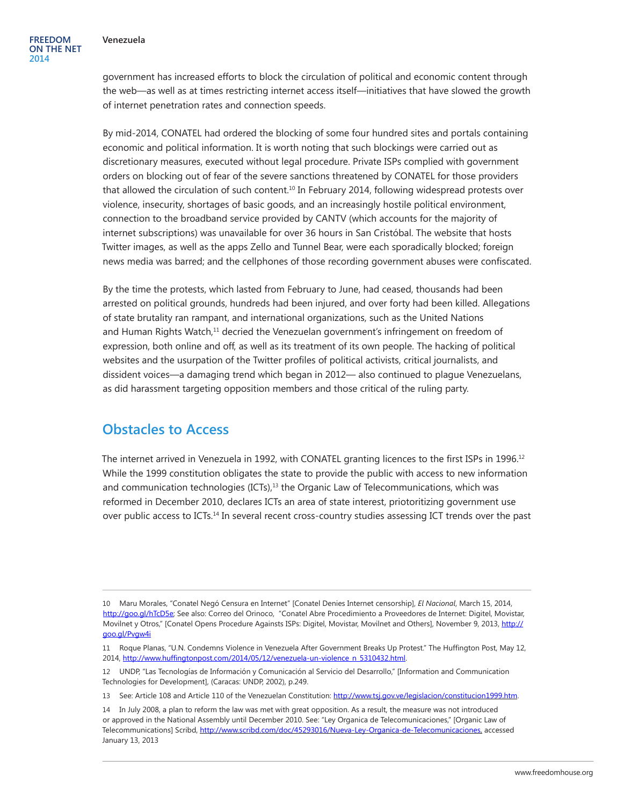government has increased efforts to block the circulation of political and economic content through the web—as well as at times restricting internet access itself—initiatives that have slowed the growth of internet penetration rates and connection speeds.

By mid-2014, CONATEL had ordered the blocking of some four hundred sites and portals containing economic and political information. It is worth noting that such blockings were carried out as discretionary measures, executed without legal procedure. Private ISPs complied with government orders on blocking out of fear of the severe sanctions threatened by CONATEL for those providers that allowed the circulation of such content.<sup>10</sup> In February 2014, following widespread protests over violence, insecurity, shortages of basic goods, and an increasingly hostile political environment, connection to the broadband service provided by CANTV (which accounts for the majority of internet subscriptions) was unavailable for over 36 hours in San Cristóbal. The website that hosts Twitter images, as well as the apps Zello and Tunnel Bear, were each sporadically blocked; foreign news media was barred; and the cellphones of those recording government abuses were confiscated.

By the time the protests, which lasted from February to June, had ceased, thousands had been arrested on political grounds, hundreds had been injured, and over forty had been killed. Allegations of state brutality ran rampant, and international organizations, such as the United Nations and Human Rights Watch, $<sup>11</sup>$  decried the Venezuelan government's infringement on freedom of</sup> expression, both online and off, as well as its treatment of its own people. The hacking of political websites and the usurpation of the Twitter profiles of political activists, critical journalists, and dissident voices—a damaging trend which began in 2012— also continued to plague Venezuelans, as did harassment targeting opposition members and those critical of the ruling party.

#### **Obstacles to Access**

The internet arrived in Venezuela in 1992, with CONATEL granting licences to the first ISPs in 1996.<sup>12</sup> While the 1999 constitution obligates the state to provide the public with access to new information and communication technologies  $(ICTS)<sub>13</sub>$  the Organic Law of Telecommunications, which was reformed in December 2010, declares ICTs an area of state interest, priotoritizing government use over public access to ICTs.14 In several recent cross-country studies assessing ICT trends over the past

<sup>10</sup> Maru Morales, "Conatel Negó Censura en Internet" [Conatel Denies Internet censorship], *El Nacional*, March 15, 2014, [http://goo.gl/hTcD5e;](http://goo.gl/hTcD5e) See also: Correo del Orinoco, "Conatel Abre Procedimiento a Proveedores de Internet: Digitel, Movistar, Movilnet y Otros," [Conatel Opens Procedure Againsts ISPs: Digitel, Movistar, Movilnet and Others], November 9, 2013, [http://](http://goo.gl/Pvgw4i) [goo.gl/Pvgw4i](http://goo.gl/Pvgw4i)

<sup>11</sup> Roque Planas, "U.N. Condemns Violence in Venezuela After Government Breaks Up Protest." The Huffington Post, May 12, 2014, [http://www.huffingtonpost.com/2014/05/12/venezuela-un-violence\\_n\\_5310432.html](http://www.huffingtonpost.com/2014/05/12/venezuela-un-violence_n_5310432.html).

<sup>12</sup> UNDP, "Las Tecnologías de Información y Comunicación al Servicio del Desarrollo," [Information and Communication Technologies for Development], (Caracas: UNDP, 2002), p.249.

<sup>13</sup> See: Article 108 and Article 110 of the Venezuelan Constitution: [http://www.tsj.gov.ve/legislacion/constitucion1999.htm.](http://www.tsj.gov.ve/legislacion/constitucion1999.htm)

<sup>14</sup> In July 2008, a plan to reform the law was met with great opposition. As a result, the measure was not introduced or approved in the National Assembly until December 2010. See: "Ley Organica de Telecomunicaciones," [Organic Law of Telecommunications] Scribd, [http://www.scribd.com/doc/45293016/Nueva-Ley-Organica-de-Telecomunicaciones,](http://www.scribd.com/doc/45293016/Nueva-Ley-Organica-de-Telecomunicaciones) accessed January 13, 2013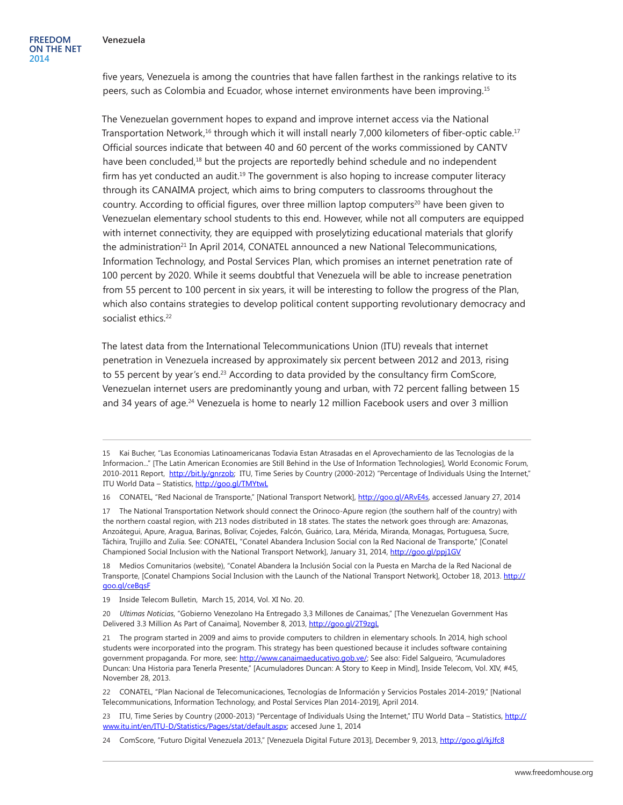five years, Venezuela is among the countries that have fallen farthest in the rankings relative to its peers, such as Colombia and Ecuador, whose internet environments have been improving.15

The Venezuelan government hopes to expand and improve internet access via the National Transportation Network,<sup>16</sup> through which it will install nearly 7,000 kilometers of fiber-optic cable.<sup>17</sup> Official sources indicate that between 40 and 60 percent of the works commissioned by CANTV have been concluded,<sup>18</sup> but the projects are reportedly behind schedule and no independent firm has yet conducted an audit.<sup>19</sup> The government is also hoping to increase computer literacy through its CANAIMA project, which aims to bring computers to classrooms throughout the country. According to official figures, over three million laptop computers<sup>20</sup> have been given to Venezuelan elementary school students to this end. However, while not all computers are equipped with internet connectivity, they are equipped with proselytizing educational materials that glorify the administration<sup>21</sup> In April 2014, CONATEL announced a new National Telecommunications, Information Technology, and Postal Services Plan, which promises an internet penetration rate of 100 percent by 2020. While it seems doubtful that Venezuela will be able to increase penetration from 55 percent to 100 percent in six years, it will be interesting to follow the progress of the Plan, which also contains strategies to develop political content supporting revolutionary democracy and socialist ethics.<sup>22</sup>

The latest data from the International Telecommunications Union (ITU) reveals that internet penetration in Venezuela increased by approximately six percent between 2012 and 2013, rising to 55 percent by year's end.<sup>23</sup> According to data provided by the consultancy firm ComScore, Venezuelan internet users are predominantly young and urban, with 72 percent falling between 15 and 34 years of age.<sup>24</sup> Venezuela is home to nearly 12 million Facebook users and over 3 million

<sup>15</sup> Kai Bucher, "Las Economias Latinoamericanas Todavia Estan Atrasadas en el Aprovechamiento de las Tecnologias de la Informacion..." [The Latin American Economies are Still Behind in the Use of Information Technologies], World Economic Forum, 2010-2011 Report[,](http://www.weforum.org/news/las-econom%C3%ADas-latinoamericanas-todav%C3%ADa-est%C3%A1n-atrasadas-en-el-aprovechamiento-de-las-tecnolog%C3%ADas?fo=1) [http://bit.ly/gnrzob;](http://bit.ly/gnrzob) ITU, Time Series by Country (2000-2012) "Percentage of Individuals Using the Internet," ITU World Data – Statistics,<http://goo.gl/TMYtwL>

<sup>16</sup> CONATEL, "Red Nacional de Transporte," [National Transport Network],<http://goo.gl/ARvE4s>, accessed January 27, 2014

<sup>17</sup> The National Transportation Network should connect the Orinoco-Apure region (the southern half of the country) with the northern coastal region, with 213 nodes distributed in 18 states. The states the network goes through are: Amazonas, Anzoátegui, Apure, Aragua, Barinas, Bolívar, Cojedes, Falcón, Guárico, Lara, Mérida, Miranda, Monagas, Portuguesa, Sucre, Táchira, Trujillo and Zulia. See: CONATEL, "Conatel Abandera Inclusion Social con la Red Nacional de Transporte," [Conatel Championed Social Inclusion with the National Transport Network], January 31, 2014, <http://goo.gl/ppj1GV>

<sup>18</sup> Medios Comunitarios (website), "Conatel Abandera la Inclusión Social con la Puesta en Marcha de la Red Nacional de Transporte, [Conatel Champions Social Inclusion with the Launch of the National Transport Network], October 18, 2013. [http://](http://goo.gl/ceBqsF) [goo.gl/ceBqsF](http://goo.gl/ceBqsF)

<sup>19</sup> Inside Telecom Bulletin, March 15, 2014, Vol. XI No. 20.

<sup>20</sup> *Ultimas Noticias*, "Gobierno Venezolano Ha Entregado 3,3 Millones de Canaimas," [The Venezuelan Government Has Delivered 3.3 Million As Part of Canaima], November 8, 2013, <http://goo.gl/2T9zgL>

<sup>21</sup> The program started in 2009 and aims to provide computers to children in elementary schools. In 2014, high school students were incorporated into the program. This strategy has been questioned because it includes software containing government propaganda. For more, see: [http://www.canaimaeducativo.gob.ve/;](http://www.canaimaeducativo.gob.ve/) See also: Fidel Salgueiro, "Acumuladores Duncan: Una Historia para Tenerla Presente," [Acumuladores Duncan: A Story to Keep in Mind], Inside Telecom, Vol. XIV, #45, November 28, 2013.

<sup>22</sup> CONATEL, "Plan Nacional de Telecomunicaciones, Tecnologías de Información y Servicios Postales 2014-2019," [National Telecommunications, Information Technology, and Postal Services Plan 2014-2019], April 2014.

<sup>23</sup> ITU, Time Series by Country (2000-2013) "Percentage of Individuals Using the Internet," ITU World Data – Statistics, [http://](http://www.itu.int/en/ITU-D/Statistics/Pages/stat/default.aspx) [www.itu.int/en/ITU-D/Statistics/Pages/stat/default.aspx](http://www.itu.int/en/ITU-D/Statistics/Pages/stat/default.aspx); accesed June 1, 2014

<sup>24</sup> ComScore, "Futuro Digital Venezuela 2013," [Venezuela Digital Future 2013], December 9, 2013, <http://goo.gl/kjJfc8>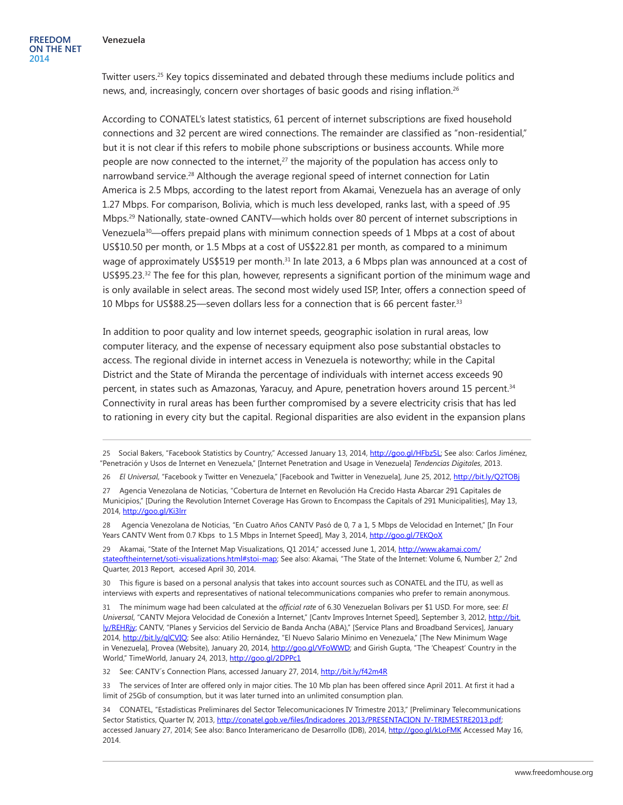Twitter users.25 Key topics disseminated and debated through these mediums include politics and news, and, increasingly, concern over shortages of basic goods and rising inflation.<sup>26</sup>

According to CONATEL's latest statistics, 61 percent of internet subscriptions are fixed household connections and 32 percent are wired connections. The remainder are classified as "non-residential," but it is not clear if this refers to mobile phone subscriptions or business accounts. While more people are now connected to the internet,<sup>27</sup> the majority of the population has access only to narrowband service.<sup>28</sup> Although the average regional speed of internet connection for Latin America is 2.5 Mbps, according to the latest report from Akamai, Venezuela has an average of only 1.27 Mbps. For comparison, Bolivia, which is much less developed, ranks last, with a speed of .95 Mbps.29 Nationally, state-owned CANTV—which holds over 80 percent of internet subscriptions in Venezuela<sup>30</sup>—offers prepaid plans with minimum connection speeds of 1 Mbps at a cost of about US\$10.50 per month, or 1.5 Mbps at a cost of US\$22.81 per month, as compared to a minimum wage of approximately US\$519 per month.<sup>31</sup> In late 2013, a 6 Mbps plan was announced at a cost of US\$95.23.<sup>32</sup> The fee for this plan, however, represents a significant portion of the minimum wage and is only available in select areas. The second most widely used ISP, Inter, offers a connection speed of 10 Mbps for US\$88.25—seven dollars less for a connection that is 66 percent faster.33

In addition to poor quality and low internet speeds, geographic isolation in rural areas, low computer literacy, and the expense of necessary equipment also pose substantial obstacles to access. The regional divide in internet access in Venezuela is noteworthy; while in the Capital District and the State of Miranda the percentage of individuals with internet access exceeds 90 percent, in states such as Amazonas, Yaracuy, and Apure, penetration hovers around 15 percent.<sup>34</sup> Connectivity in rural areas has been further compromised by a severe electricity crisis that has led to rationing in every city but the capital. Regional disparities are also evident in the expansion plans

29 Akamai, "State of the Internet Map Visualizations, Q1 2014," accessed June 1, 2014, [http://www.akamai.com/](http://www.akamai.com/stateoftheinternet/soti-visualizations.html#stoi-map) [stateoftheinternet/soti-visualizations.html#stoi-map](http://www.akamai.com/stateoftheinternet/soti-visualizations.html#stoi-map); See also: Akamai, "The State of the Internet: Volume 6, Number 2," 2nd Quarter, 2013 Report, accesed April 30, 2014.

30 This figure is based on a personal analysis that takes into account sources such as CONATEL and the ITU, as well as interviews with experts and representatives of national telecommunications companies who prefer to remain anonymous.

31 The mínimum wage had been calculated at the *official rate* of 6.30 Venezuelan Bolivars per \$1 USD. For more, see: *El Universal*, "CANTV Mejora Velocidad de Conexión a Internet," [Cantv Improves Internet Speed], September 3, 2012, [http://bit.](http://bit.ly/REHRjy) [ly/REHRjy](http://bit.ly/REHRjy); CANTV, "Planes y Servicios del Servicio de Banda Ancha (ABA)," [Service Plans and Broadband Services], January 2014, [http://bit.ly/qlCVIQ;](http://bit.ly/qlCVIQ) See also: Atilio Hernández, "El Nuevo Salario Mínimo en Venezuela," [The New Minimum Wage in Venezuela], Provea (Website), January 20, 2014, <http://goo.gl/VFoWWD>; and Girish Gupta, "The 'Cheapest' Country in the World," TimeWorld, January 24, 2013, <http://goo.gl/2DPPc1>

32 See: CANTV's Connection Plans, accessed January 27, 2014,<http://bit.ly/f42m4R>

33 The services of Inter are offered only in major cities. The 10 Mb plan has been offered since April 2011. At first it had a limit of 25Gb of consumption, but it was later turned into an unlimited consumption plan.

34 CONATEL, "Estadisticas Preliminares del Sector Telecomunicaciones IV Trimestre 2013," [Preliminary Telecommunications Sector Statistics, Quarter IV, 2013, [http://conatel.gob.ve/files/Indicadores\\_2013/PRESENTACION\\_IV-TRIMESTRE2013.pdf](http://conatel.gob.ve/files/Indicadores_2013/PRESENTACION_IV-TRIMESTRE2013.pdf); accessed January 27, 2014; See also: Banco Interamericano de Desarrollo (IDB), 2014,<http://goo.gl/kLoFMK>Accessed May 16, 2014.

<sup>25</sup> Social Bakers, "Facebook Statistics by Country," Accessed January 13, 2014, <http://goo.gl/HFbz5L>; See also: Carlos Jiménez, "Penetración y Usos de Internet en Venezuela," [Internet Penetration and Usage in Venezuela] *Tendencias Digitales*, 2013.

<sup>26</sup> *El Universal*, "Facebook y Twitter en Venezuela," [Facebook and Twitter in Venezuela], June 25, 2012, <http://bit.ly/Q2TOBj>

<sup>27</sup> Agencia Venezolana de Noticias, "Cobertura de Internet en Revolución Ha Crecido Hasta Abarcar 291 Capitales de Municipios," [During the Revolution Internet Coverage Has Grown to Encompass the Capitals of 291 Municipalities], May 13, 2014, <http://goo.gl/Ki3lrr>

<sup>28</sup> Agencia Venezolana de Noticias, "En Cuatro Años CANTV Pasó de 0, 7 a 1, 5 Mbps de Velocidad en Internet," [In Four Years CANTV Went from 0.7 Kbps to 1.5 Mbps in Internet Speed], May 3, 2014,<http://goo.gl/7EKQoX>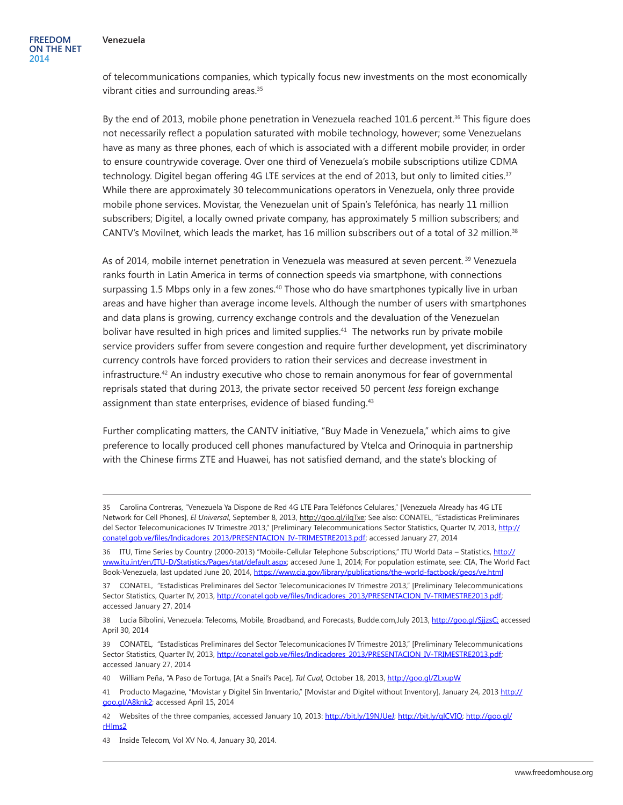of telecommunications companies, which typically focus new investments on the most economically vibrant cities and surrounding areas.<sup>35</sup>

By the end of 2013, mobile phone penetration in Venezuela reached 101.6 percent.<sup>36</sup> This figure does not necessarily reflect a population saturated with mobile technology, however; some Venezuelans have as many as three phones, each of which is associated with a different mobile provider, in order to ensure countrywide coverage. Over one third of Venezuela's mobile subscriptions utilize CDMA technology. Digitel began offering 4G LTE services at the end of 2013, but only to limited cities.<sup>37</sup> While there are approximately 30 telecommunications operators in Venezuela, only three provide mobile phone services. Movistar, the Venezuelan unit of Spain's Telefónica, has nearly 11 million subscribers; Digitel, a locally owned private company, has approximately 5 million subscribers; and CANTV's Movilnet, which leads the market, has 16 million subscribers out of a total of 32 million.38

As of 2014, mobile internet penetration in Venezuela was measured at seven percent. 39 Venezuela ranks fourth in Latin America in terms of connection speeds via smartphone, with connections surpassing 1.5 Mbps only in a few zones.<sup>40</sup> Those who do have smartphones typically live in urban areas and have higher than average income levels. Although the number of users with smartphones and data plans is growing, currency exchange controls and the devaluation of the Venezuelan bolivar have resulted in high prices and limited supplies.<sup>41</sup> The networks run by private mobile service providers suffer from severe congestion and require further development, yet discriminatory currency controls have forced providers to ration their services and decrease investment in infrastructure.<sup>42</sup> An industry executive who chose to remain anonymous for fear of governmental reprisals stated that during 2013, the private sector received 50 percent *less* foreign exchange assignment than state enterprises, evidence of biased funding.<sup>43</sup>

Further complicating matters, the CANTV initiative, "Buy Made in Venezuela," which aims to give preference to locally produced cell phones manufactured by Vtelca and Orinoquia in partnership with the Chinese firms ZTE and Huawei, has not satisfied demand, and the state's blocking of

40 William Peña, "A Paso de Tortuga, [At a Snail's Pace], *Tal Cual*, October 18, 2013, <http://goo.gl/ZLxupW>

<sup>35</sup> Carolina Contreras, "Venezuela Ya Dispone de Red 4G LTE Para Teléfonos Celulares," [Venezuela Already has 4G LTE Network for Cell Phones], *El Universal*, September 8, 2013, <http://goo.gl/ilqTxe>; See also: CONATEL, "Estadisticas Preliminares del Sector Telecomunicaciones IV Trimestre 2013," [Preliminary Telecommunications Sector Statistics, Quarter IV, 2013, [http://](http://conatel.gob.ve/files/Indicadores_2013/PRESENTACION_IV-TRIMESTRE2013.pdf) [conatel.gob.ve/files/Indicadores\\_2013/PRESENTACION\\_IV-TRIMESTRE2013.pdf](http://conatel.gob.ve/files/Indicadores_2013/PRESENTACION_IV-TRIMESTRE2013.pdf); accessed January 27, 2014

<sup>36</sup> ITU, Time Series by Country (2000-2013) "Mobile-Cellular Telephone Subscriptions," ITU World Data – Statistics, [http://](http://www.itu.int/en/ITU-D/Statistics/Pages/stat/default.aspx) [www.itu.int/en/ITU-D/Statistics/Pages/stat/default.aspx](http://www.itu.int/en/ITU-D/Statistics/Pages/stat/default.aspx); accesed June 1, 2014; For population estimate, see: CIA, The World Fact Book-Venezuela, last updated June 20, 2014, <https://www.cia.gov/library/publications/the-world-factbook/geos/ve.html>

<sup>37</sup> CONATEL, "Estadisticas Preliminares del Sector Telecomunicaciones IV Trimestre 2013," [Preliminary Telecommunications Sector Statistics, Quarter IV, 2013, [http://conatel.gob.ve/files/Indicadores\\_2013/PRESENTACION\\_IV-TRIMESTRE2013.pdf](http://conatel.gob.ve/files/Indicadores_2013/PRESENTACION_IV-TRIMESTRE2013.pdf); accessed January 27, 2014

<sup>38</sup> Lucia Bibolini, Venezuela: Telecoms, Mobile, Broadband, and Forecasts, Budde.com,July 2013, [http://goo.gl/SjjzsC;](http://goo.gl/SjjzsC) accessed April 30, 2014

<sup>39</sup> CONATEL, "Estadisticas Preliminares del Sector Telecomunicaciones IV Trimestre 2013," [Preliminary Telecommunications Sector Statistics, Quarter IV, 2013, [http://conatel.gob.ve/files/Indicadores\\_2013/PRESENTACION\\_IV-TRIMESTRE2013.pdf](http://conatel.gob.ve/files/Indicadores_2013/PRESENTACION_IV-TRIMESTRE2013.pdf); accessed January 27, 2014

<sup>41</sup> Producto Magazine, "Movistar y Digitel Sin Inventario," [Movistar and Digitel without Inventory], January 24, 2013 [http://](http://goo.gl/A8knk2) [goo.gl/A8knk2;](http://goo.gl/A8knk2) accessed April 15, 2014

<sup>42</sup> Websites of the three companies, accessed January 10, 2013: [http://bit.ly/19NJUeJ;](http://bit.ly/19NJUeJ) [http://bit.ly/qlCVIQ;](http://bit.ly/qlCVIQ) [http://goo.gl/](http://goo.gl/rHlms2) [rHlms2](http://goo.gl/rHlms2)

<sup>43</sup> Inside Telecom, Vol XV No. 4, January 30, 2014.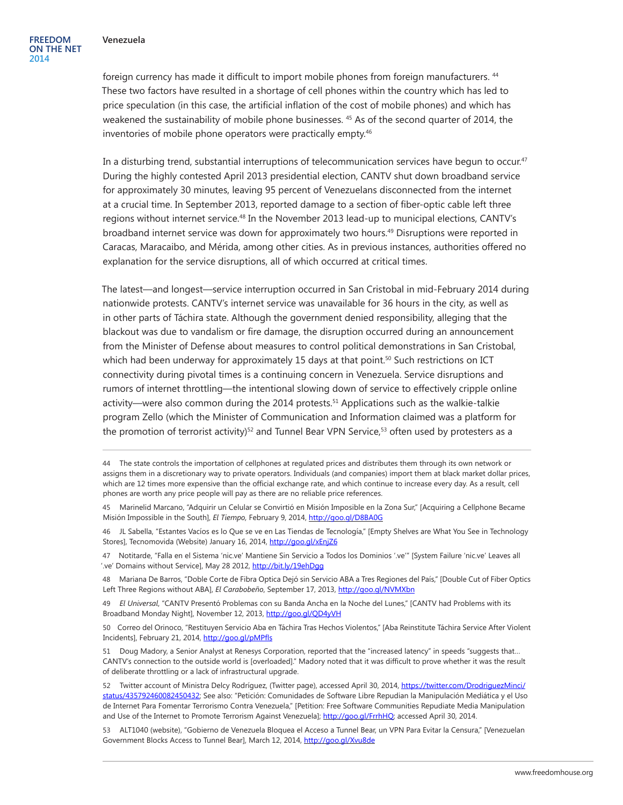foreign currency has made it difficult to import mobile phones from foreign manufacturers. <sup>44</sup> These two factors have resulted in a shortage of cell phones within the country which has led to price speculation (in this case, the artificial inflation of the cost of mobile phones) and which has weakened the sustainability of mobile phone businesses. 45 As of the second quarter of 2014, the inventories of mobile phone operators were practically empty.<sup>46</sup>

In a disturbing trend, substantial interruptions of telecommunication services have begun to occur.<sup>47</sup> During the highly contested April 2013 presidential election, CANTV shut down broadband service for approximately 30 minutes, leaving 95 percent of Venezuelans disconnected from the internet at a crucial time. In September 2013, reported damage to a section of fiber-optic cable left three regions without internet service.48 In the November 2013 lead-up to municipal elections, CANTV's broadband internet service was down for approximately two hours.49 Disruptions were reported in Caracas, Maracaibo, and Mérida, among other cities. As in previous instances, authorities offered no explanation for the service disruptions, all of which occurred at critical times.

The latest—and longest—service interruption occurred in San Cristobal in mid-February 2014 during nationwide protests. CANTV's internet service was unavailable for 36 hours in the city, as well as in other parts of Táchira state. Although the government denied responsibility, alleging that the blackout was due to vandalism or fire damage, the disruption occurred during an announcement from the Minister of Defense about measures to control political demonstrations in San Cristobal, which had been underway for approximately 15 days at that point.<sup>50</sup> Such restrictions on ICT connectivity during pivotal times is a continuing concern in Venezuela. Service disruptions and rumors of internet throttling—the intentional slowing down of service to effectively cripple online activity—were also common during the 2014 protests.<sup>51</sup> Applications such as the walkie-talkie program Zello (which the Minister of Communication and Information claimed was a platform for the promotion of terrorist activity)<sup>52</sup> and Tunnel Bear VPN Service,<sup>53</sup> often used by protesters as a

46 JL Sabella, "Estantes Vacíos es lo Que se ve en Las Tiendas de Tecnología," [Empty Shelves are What You See in Technology Stores], Tecnomovida (Website) January 16, 2014,<http://goo.gl/xEnjZ6>

47 Notitarde, "Falla en el Sistema 'nic.ve' Mantiene Sin Servicio a Todos los Dominios '.ve'" [System Failure 'nic.ve' Leaves all '.ve' Domains without Service], May 28 2012,<http://bit.ly/19ehDgg>

48 Mariana De Barros, "Doble Corte de Fibra Optica Dejó sin Servicio ABA a Tres Regiones del País," [Double Cut of Fiber Optics Left Three Regions without ABA], *El Carabobeño*, September 17, 2013, <http://goo.gl/NVMXbn>

49 *El Universal*, "CANTV Presentó Problemas con su Banda Ancha en la Noche del Lunes," [CANTV had Problems with its Broadband Monday Night], November 12, 2013, <http://goo.gl/QD4yVH>

50 Correo del Orinoco, "Restituyen Servicio Aba en Táchira Tras Hechos Violentos," [Aba Reinstitute Táchira Service After Violent Incidents], February 21, 2014, <http://goo.gl/pMPfls>

51 Doug Madory, a Senior Analyst at Renesys Corporation, reported that the "increased latency" in speeds "suggests that… CANTV's connection to the outside world is [overloaded]." Madory noted that it was difficult to prove whether it was the result of deliberate throttling or a lack of infrastructural upgrade.

52 Twitter account of Ministra Delcy Rodríguez, (Twitter page), accessed April 30, 2014, [https://twitter.com/DrodriguezMinci/](https://twitter.com/DrodriguezMinci/status/435792460082450432) [status/435792460082450432](https://twitter.com/DrodriguezMinci/status/435792460082450432); See also: "Petición: Comunidades de Software Libre Repudian la Manipulación Mediática y el Uso de Internet Para Fomentar Terrorismo Contra Venezuela," [Petition: Free Software Communities Repudiate Media Manipulation and Use of the Internet to Promote Terrorism Against Venezuela]; [http://goo.gl/FrrhHQ;](http://goo.gl/FrrhHQ) accessed April 30, 2014.

53 ALT1040 (website), "Gobierno de Venezuela Bloquea el Acceso a Tunnel Bear, un VPN Para Evitar la Censura," [Venezuelan Government Blocks Access to Tunnel Bear], March 12, 2014, <http://goo.gl/Xvu8de>

<sup>44</sup> The state controls the importation of cellphones at regulated prices and distributes them through its own network or assigns them in a discretionary way to private operators. Individuals (and companies) import them at black market dollar prices, which are 12 times more expensive than the official exchange rate, and which continue to increase every day. As a result, cell phones are worth any price people will pay as there are no reliable price references.

<sup>45</sup> Marinelid Marcano, "Adquirir un Celular se Convirtió en Misión Imposible en la Zona Sur," [Acquiring a Cellphone Became Misión Impossible in the South], *El Tiempo,* February 9, 2014, <http://goo.gl/D8BA0G>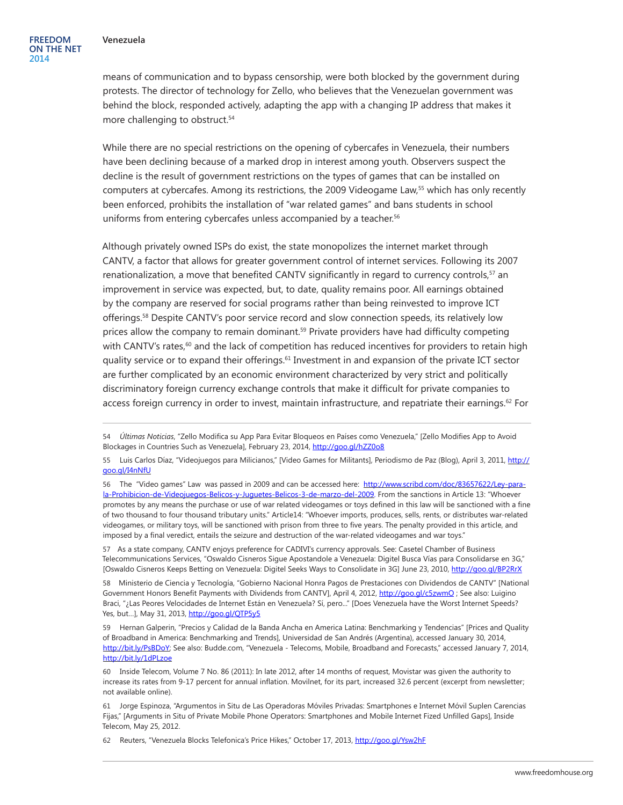means of communication and to bypass censorship, were both blocked by the government during protests. The director of technology for Zello, who believes that the Venezuelan government was behind the block, responded actively, adapting the app with a changing IP address that makes it more challenging to obstruct.<sup>54</sup>

While there are no special restrictions on the opening of cybercafes in Venezuela, their numbers have been declining because of a marked drop in interest among youth. Observers suspect the decline is the result of government restrictions on the types of games that can be installed on computers at cybercafes. Among its restrictions, the 2009 Videogame Law,<sup>55</sup> which has only recently been enforced, prohibits the installation of "war related games" and bans students in school uniforms from entering cybercafes unless accompanied by a teacher.<sup>56</sup>

Although privately owned ISPs do exist, the state monopolizes the internet market through CANTV, a factor that allows for greater government control of internet services. Following its 2007 renationalization, a move that benefited CANTV significantly in regard to currency controls,<sup>57</sup> an improvement in service was expected, but, to date, quality remains poor. All earnings obtained by the company are reserved for social programs rather than being reinvested to improve ICT offerings.58 Despite CANTV's poor service record and slow connection speeds, its relatively low prices allow the company to remain dominant.<sup>59</sup> Private providers have had difficulty competing with CANTV's rates, $60$  and the lack of competition has reduced incentives for providers to retain high quality service or to expand their offerings.<sup>61</sup> Investment in and expansion of the private ICT sector are further complicated by an economic environment characterized by very strict and politically discriminatory foreign currency exchange controls that make it difficult for private companies to access foreign currency in order to invest, maintain infrastructure, and repatriate their earnings.<sup>62</sup> For

57 As a state company, CANTV enjoys preference for CADIVI's currency approvals. See: Casetel Chamber of Business Telecommunications Services, "Oswaldo Cisneros Sigue Apostandole a Venezuela: Digitel Busca Vías para Consolidarse en 3G," [Oswaldo Cisneros Keeps Betting on Venezuela: Digitel Seeks Ways to Consolidate in 3G] June 23, 2010, <http://goo.gl/BP2RrX>

58 Ministerio de Ciencia y Tecnología, "Gobierno Nacional Honra Pagos de Prestaciones con Dividendos de CANTV" [National Government Honors Benefit Payments with Dividends from CANTV], April 4, 2012, http://goo.gl/c5zwmQ ; See also: Luigino Braci, "¿Las Peores Velocidades de Internet Están en Venezuela? Sí, pero..." [Does Venezuela have the Worst Internet Speeds? Yes, but...], May 31, 2013, <http://goo.gl/QTP5y5>

59 Hernan Galperin, "Precios y Calidad de la Banda Ancha en America Latina: Benchmarking y Tendencias" [Prices and Quality of Broadband in America: Benchmarking and Trends], Universidad de San Andrés (Argentina), accessed January 30, 2014[,](http://www.udesa.edu.ar/files/AdmTecySociedad/12_galperin.pdf) [http://bit.ly/PsBDoY;](http://bit.ly/PsBDoY) See also: Budde.com, "Venezuela - Telecoms, Mobile, Broadband and Forecasts," accessed January 7, 2014, <http://bit.ly/1dPLzoe>

60 Inside Telecom, Volume 7 No. 86 (2011): In late 2012, after 14 months of request, Movistar was given the authority to increase its rates from 9-17 percent for annual inflation. Movilnet, for its part, increased 32.6 percent (excerpt from newsletter; not available online).

62 Reuters, "Venezuela Blocks Telefonica's Price Hikes," October 17, 2013,<http://goo.gl/Ysw2hF>

<sup>54</sup> *Últimas Noticias*, "Zello Modifica su App Para Evitar Bloqueos en Países como Venezuela," [Zello Modifies App to Avoid Blockages in Countries Such as Venezuela], February 23, 2014,<http://goo.gl/hZZ0o8>

<sup>55</sup> Luis Carlos Díaz, "Videojuegos para Milicianos," [Video Games for Militants], Periodismo de Paz (Blog), April 3, 2011, [http://](http://goo.gl/I4nNfU) [goo.gl/I4nNfU](http://goo.gl/I4nNfU)

<sup>56</sup> The "Video games" Law was passed in 2009 and can be accessed here: [http://www.scribd.com/doc/83657622/Ley-para](http://www.scribd.com/doc/83657622/Ley-para-la-Prohibicion-de-Videojuegos-Belicos-y-Juguetes-Belicos-3-de-marzo-del-2009)[la-Prohibicion-de-Videojuegos-Belicos-y-Juguetes-Belicos-3-de-marzo-del-2009.](http://www.scribd.com/doc/83657622/Ley-para-la-Prohibicion-de-Videojuegos-Belicos-y-Juguetes-Belicos-3-de-marzo-del-2009) From the sanctions in Article 13: "Whoever promotes by any means the purchase or use of war related videogames or toys defined in this law will be sanctioned with a fine of two thousand to four thousand tributary units." Article14: "Whoever imports, produces, sells, rents, or distributes war-related videogames, or military toys, will be sanctioned with prison from three to five years. The penalty provided in this article, and imposed by a final veredict, entails the seizure and destruction of the war-related videogames and war toys."

<sup>61</sup> Jorge Espinoza, "Argumentos in Situ de Las Operadoras Móviles Privadas: Smartphones e Internet Móvil Suplen Carencias Fijas," [Arguments in Situ of Private Mobile Phone Operators: Smartphones and Mobile Internet Fized Unfilled Gaps], Inside Telecom, May 25, 2012.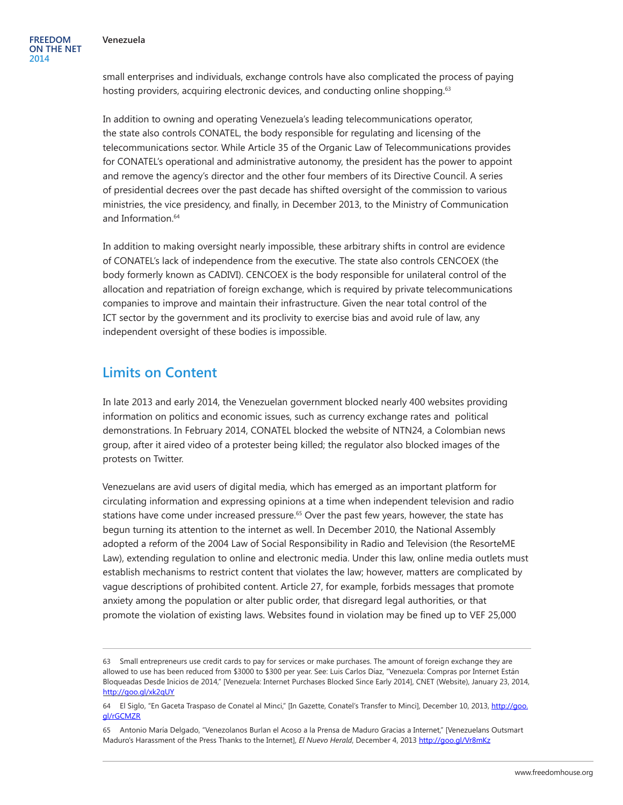small enterprises and individuals, exchange controls have also complicated the process of paying hosting providers, acquiring electronic devices, and conducting online shopping.<sup>63</sup>

In addition to owning and operating Venezuela's leading telecommunications operator, the state also controls CONATEL, the body responsible for regulating and licensing of the telecommunications sector. While Article 35 of the Organic Law of Telecommunications provides for CONATEL's operational and administrative autonomy, the president has the power to appoint and remove the agency's director and the other four members of its Directive Council. A series of presidential decrees over the past decade has shifted oversight of the commission to various ministries, the vice presidency, and finally, in December 2013, to the Ministry of Communication and Information.64

In addition to making oversight nearly impossible, these arbitrary shifts in control are evidence of CONATEL's lack of independence from the executive. The state also controls CENCOEX (the body formerly known as CADIVI). CENCOEX is the body responsible for unilateral control of the allocation and repatriation of foreign exchange, which is required by private telecommunications companies to improve and maintain their infrastructure. Given the near total control of the ICT sector by the government and its proclivity to exercise bias and avoid rule of law, any independent oversight of these bodies is impossible.

### **Limits on Content**

In late 2013 and early 2014, the Venezuelan government blocked nearly 400 websites providing information on politics and economic issues, such as currency exchange rates and political demonstrations. In February 2014, CONATEL blocked the website of NTN24, a Colombian news group, after it aired video of a protester being killed; the regulator also blocked images of the protests on Twitter.

Venezuelans are avid users of digital media, which has emerged as an important platform for circulating information and expressing opinions at a time when independent television and radio stations have come under increased pressure.<sup>65</sup> Over the past few years, however, the state has begun turning its attention to the internet as well. In December 2010, the National Assembly adopted a reform of the 2004 Law of Social Responsibility in Radio and Television (the ResorteME Law), extending regulation to online and electronic media. Under this law, online media outlets must establish mechanisms to restrict content that violates the law; however, matters are complicated by vague descriptions of prohibited content. Article 27, for example, forbids messages that promote anxiety among the population or alter public order, that disregard legal authorities, or that promote the violation of existing laws. Websites found in violation may be fined up to VEF 25,000

<sup>63</sup> Small entrepreneurs use credit cards to pay for services or make purchases. The amount of foreign exchange they are allowed to use has been reduced from \$3000 to \$300 per year. See: Luis Carlos Díaz, "Venezuela: Compras por Internet Están Bloqueadas Desde Inicios de 2014," [Venezuela: Internet Purchases Blocked Since Early 2014], CNET (Website), January 23, 2014, <http://goo.gl/xk2qUY>

<sup>64</sup> El Siglo, "En Gaceta Traspaso de Conatel al Minci," [In Gazette, Conatel's Transfer to Minci], December 10, 2013, [http://goo.](http://goo.gl/rGCMZR) [gl/rGCMZR](http://goo.gl/rGCMZR)

<sup>65</sup> Antonio María Delgado, "Venezolanos Burlan el Acoso a la Prensa de Maduro Gracias a Internet," [Venezuelans Outsmart Maduro's Harassment of the Press Thanks to the Internet], *El Nuevo Herald*, December 4, 2013 <http://goo.gl/Vr8mKz>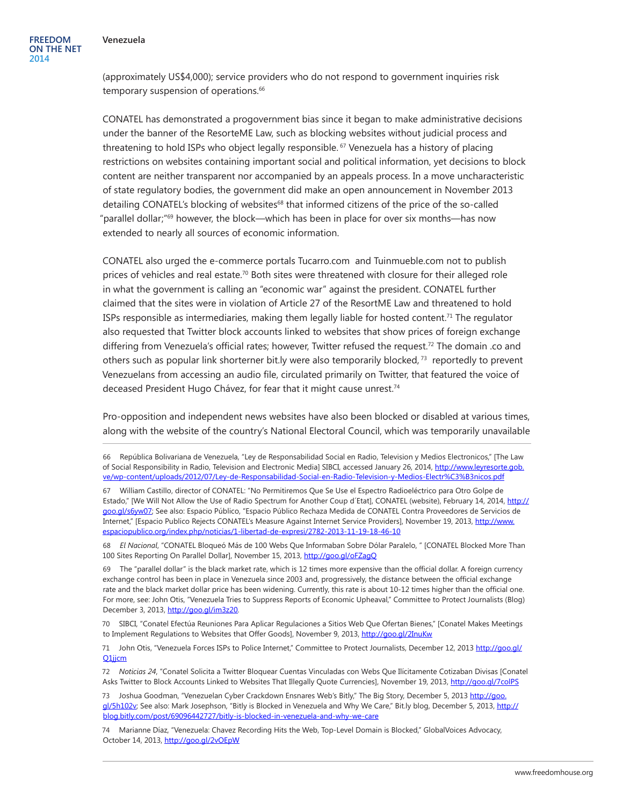**FREEDOM ON THE NET 2014**

(approximately US\$4,000); service providers who do not respond to government inquiries risk temporary suspension of operations.<sup>66</sup>

CONATEL has demonstrated a progovernment bias since it began to make administrative decisions under the banner of the ResorteME Law, such as blocking websites without judicial process and threatening to hold ISPs who object legally responsible.<sup>67</sup> Venezuela has a history of placing restrictions on websites containing important social and political information, yet decisions to block content are neither transparent nor accompanied by an appeals process. In a move uncharacteristic of state regulatory bodies, the government did make an open announcement in November 2013 detailing CONATEL's blocking of websites<sup>68</sup> that informed citizens of the price of the so-called "parallel dollar;"69 however, the block—which has been in place for over six months—has now extended to nearly all sources of economic information.

CONATEL also urged the e-commerce portals Tucarro.com and [Tuinmueble.com](file:///C:\Users\reed\AppData\Local\Microsoft\Windows\Temporary Internet Files\Content.Outlook\408B2A24\Tuinmueble.com) not to publish prices of vehicles and real estate.<sup>70</sup> Both sites were threatened with closure for their alleged role in what the government is calling an "economic war" against the president. CONATEL further claimed that the sites were in violation of Article 27 of the ResortME Law and threatened to hold ISPs responsible as intermediaries, making them legally liable for hosted content.71 The regulator also requested that Twitter block accounts linked to websites that show prices of foreign exchange differing from Venezuela's official rates; however, Twitter refused the request.72 The domain .co and others such as popular link shorterner bit.ly were also temporarily blocked, 73 reportedly to prevent Venezuelans from accessing an audio file, circulated primarily on Twitter, that featured the voice of deceased President Hugo Chávez, for fear that it might cause unrest.74

Pro-opposition and independent news websites have also been blocked or disabled at various times, along with the website of the country's National Electoral Council, which was temporarily unavailable

68 *El Nacional*, "CONATEL Bloqueó Más de 100 Webs Que Informaban Sobre Dólar Paralelo, " [CONATEL Blocked More Than 100 Sites Reporting On Parallel Dollar], November 15, 2013, <http://goo.gl/oFZagQ>

69 The "parallel dollar" is the black market rate, which is 12 times more expensive than the official dollar. A foreign currency exchange control has been in place in Venezuela since 2003 and, progressively, the distance between the official exchange rate and the black market dollar price has been widening. Currently, this rate is about 10-12 times higher than the official one. For more, see: John Otis, "Venezuela Tries to Suppress Reports of Economic Upheaval," Committee to Protect Journalists (Blog) December 3, 2013, [http://goo.gl/im3z20.](http://goo.gl/im3z20)

70 SIBCI, "Conatel Efectúa Reuniones Para Aplicar Regulaciones a Sitios Web Que Ofertan Bienes," [Conatel Makes Meetings to Implement Regulations to Websites that Offer Goods], November 9, 2013, <http://goo.gl/2InuKw>

71 John Otis, "Venezuela Forces ISPs to Police Internet," Committee to Protect Journalists, December 12, 2013 [http://goo.gl/](http://goo.gl/Q1jjcm) [Q1jjcm](http://goo.gl/Q1jjcm)

72 *Noticias 24*, "Conatel Solicita a Twitter Bloquear Cuentas Vinculadas con Webs Que Ilícitamente Cotizaban Divisas [Conatel Asks Twitter to Block Accounts Linked to Websites That Illegally Quote Currencies], November 19, 2013,<http://goo.gl/7colPS>

73 Joshua Goodman, "Venezuelan Cyber Crackdown Ensnares Web's Bitly," The Big Story, December 5, 2013 [http://goo.](http://goo.gl/5h102v) [gl/5h102v](http://goo.gl/5h102v); See also: Mark Josephson, "Bitly is Blocked in Venezuela and Why We Care," Bit.ly blog, December 5, 2013, [http://](http://blog.bitly.com/post/69096442727/bitly-is-blocked-in-venezuela-and-why-we-care) [blog.bitly.com/post/69096442727/bitly-is-blocked-in-venezuela-and-why-we-care](http://blog.bitly.com/post/69096442727/bitly-is-blocked-in-venezuela-and-why-we-care)

74 Marianne Díaz, "Venezuela: Chavez Recording Hits the Web, Top-Level Domain is Blocked," GlobalVoices Advocacy, October 14, 2013, <http://goo.gl/2vOEpW>

<sup>66</sup> República Bolivariana de Venezuela, "Ley de Responsabilidad Social en Radio, Television y Medios Electronicos," [The Law of Social Responsibility in Radio, Television and Electronic Media] SIBCI, accessed January 26, 2014, [http://www.leyresorte.gob.](http://www.leyresorte.gob.ve/wp-content/uploads/2012/07/Ley-de-Responsabilidad-Social-en-Radio-Television-y-Medios-Electr%C3%B3nicos.pdf) [ve/wp-content/uploads/2012/07/Ley-de-Responsabilidad-Social-en-Radio-Television-y-Medios-Electr%C3%B3nicos.pdf](http://www.leyresorte.gob.ve/wp-content/uploads/2012/07/Ley-de-Responsabilidad-Social-en-Radio-Television-y-Medios-Electr%C3%B3nicos.pdf)

<sup>67</sup> William Castillo, director of CONATEL: "No Permitiremos Que Se Use el Espectro Radioeléctrico para Otro Golpe de Estado," [We Will Not Allow the Use of Radio Spectrum for Another Coup d'Etat], CONATEL (website), February 14, 2014, [http://](http://goo.gl/s6yw07) [goo.gl/s6yw07](http://goo.gl/s6yw07); See also: Espacio Público, "Espacio Público Rechaza Medida de CONATEL Contra Proveedores de Servicios de Internet," [Espacio Publico Rejects CONATEL's Measure Against Internet Service Providers], November 19, 2013, [http://www.](http://www.espaciopublico.org/index.php/noticias/1-libertad-de-expresi/2782-2013-11-19-18-46-10) [espaciopublico.org/index.php/noticias/1-libertad-de-expresi/2782-2013-11-19-18-46-10](http://www.espaciopublico.org/index.php/noticias/1-libertad-de-expresi/2782-2013-11-19-18-46-10)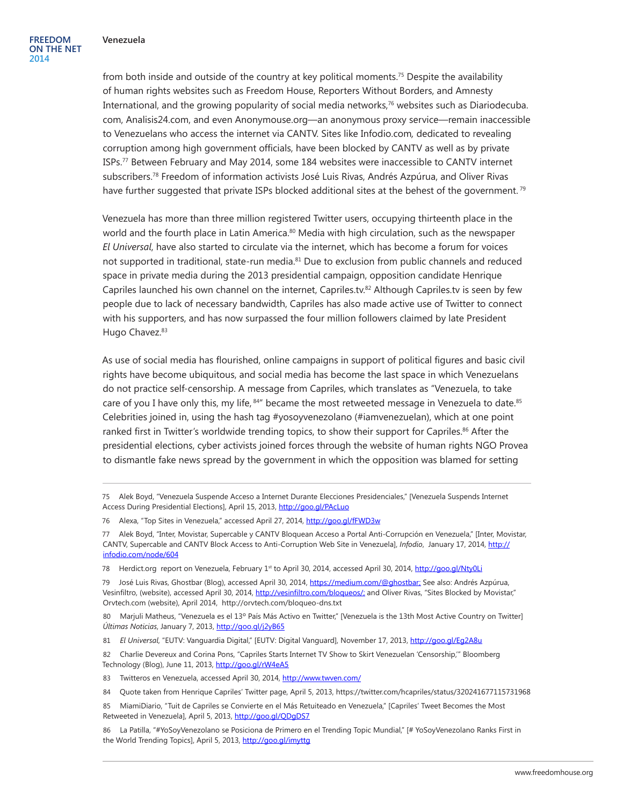from both inside and outside of the country at key political moments.75 Despite the availability of human rights websites such as Freedom House, Reporters Without Borders, and Amnesty International, and the growing popularity of social media networks,76 websites such as Diariodecuba. com, Analisis24.com, and even Anonymouse.org—an anonymous proxy service—remain inaccessible to Venezuelans who access the internet via CANTV. Sites like Infodio.com*,* dedicated to revealing corruption among high government officials, have been blocked by CANTV as well as by private ISPs.77 Between February and May 2014, some 184 websites were inaccessible to CANTV internet subscribers.78 Freedom of information activists José Luis Rivas, Andrés Azpúrua, and Oliver Rivas have further suggested that private ISPs blocked additional sites at the behest of the government.<sup>79</sup>

Venezuela has more than three million registered Twitter users, occupying thirteenth place in the world and the fourth place in Latin America. $80$  Media with high circulation, such as the newspaper *El Universal*, have also started to circulate via the internet, which has become a forum for voices not supported in traditional, state-run media.<sup>81</sup> Due to exclusion from public channels and reduced space in private media during the 2013 presidential campaign, opposition candidate Henrique Capriles launched his own channel on the internet, Capriles.tv.<sup>82</sup> Although Capriles.tv is seen by few people due to lack of necessary bandwidth, Capriles has also made active use of Twitter to connect with his supporters, and has now surpassed the four million followers claimed by late President Hugo Chavez.<sup>83</sup>

As use of social media has flourished, online campaigns in support of political figures and basic civil rights have become ubiquitous, and social media has become the last space in which Venezuelans do not practice self-censorship. A message from Capriles, which translates as "Venezuela, to take care of you I have only this, my life, 84" became the most retweeted message in Venezuela to date.85 Celebrities joined in, using the hash tag #yosoyvenezolano (#iamvenezuelan), which at one point ranked first in Twitter's worldwide trending topics, to show their support for Capriles.<sup>86</sup> After the presidential elections, cyber activists joined forces through the website of human rights NGO Provea to dismantle fake news spread by the government in which the opposition was blamed for setting

76 Alexa, "Top Sites in Venezuela," accessed April 27, 2014,<http://goo.gl/fFWD3w>

79 José Luis Rivas, Ghostbar (Blog), accessed April 30, 2014, <https://medium.com/@ghostbar>; See also: Andrés Azpúrua, Vesinfiltro, (website), accessed April 30, 2014, <http://vesinfiltro.com/bloqueos/>; and Oliver Rivas, "Sites Blocked by Movistar," Orvtech.com (website), April 2014, <http://orvtech.com/bloqueo-dns.txt>

80 Marjuli Matheus, "Venezuela es el 13º País Más Activo en Twitter," [Venezuela is the 13th Most Active Country on Twitter] *Últimas Noticias*, January 7, 2013, <http://goo.gl/j2yB65>

82 Charlie Devereux and Corina Pons, "Capriles Starts Internet TV Show to Skirt Venezuelan 'Censorship,'" Bloomberg Technology (Blog), June 11, 2013,<http://goo.gl/rW4eA5>

83 Twitteros en Venezuela, accessed April 30, 2014, <http://www.twven.com/>

84 Quote taken from Henrique Capriles' Twitter page, April 5, 2013,<https://twitter.com/hcapriles/status/320241677115731968>

85 MiamiDiario, "Tuit de Capriles se Convierte en el Más Retuiteado en Venezuela," [Capriles' Tweet Becomes the Most Retweeted in Venezuela], April 5, 2013, <http://goo.gl/QDgDS7>

86 La Patilla, "#YoSoyVenezolano se Posiciona de Primero en el Trending Topic Mundial," [# YoSoyVenezolano Ranks First in the World Trending Topics], April 5, 2013,<http://goo.gl/imyttg>

<sup>75</sup> Alek Boyd, "Venezuela Suspende Acceso a Internet Durante Elecciones Presidenciales," [Venezuela Suspends Internet Access During Presidential Elections], April 15, 2013,<http://goo.gl/PAcLuo>

<sup>77</sup> Alek Boyd, "Inter, Movistar, Supercable y CANTV Bloquean Acceso a Portal Anti-Corrupción en Venezuela," [Inter, Movistar, CANTV, Supercable and CANTV Block Access to Anti-Corruption Web Site in Venezuela], *Infodio*, January 17, 2014, [http://](http://infodio.com/node/604) [infodio.com/node/604](http://infodio.com/node/604)

<sup>78</sup> Herdict.org report on Venezuela, February 1<sup>st</sup> to April 30, 2014, accessed April 30, 2014, <http://goo.gl/Nty0Li>

<sup>81</sup> *El Universal*, "EUTV: Vanguardia Digital," [EUTV: Digital Vanguard], November 17, 2013,<http://goo.gl/Eg2A8u>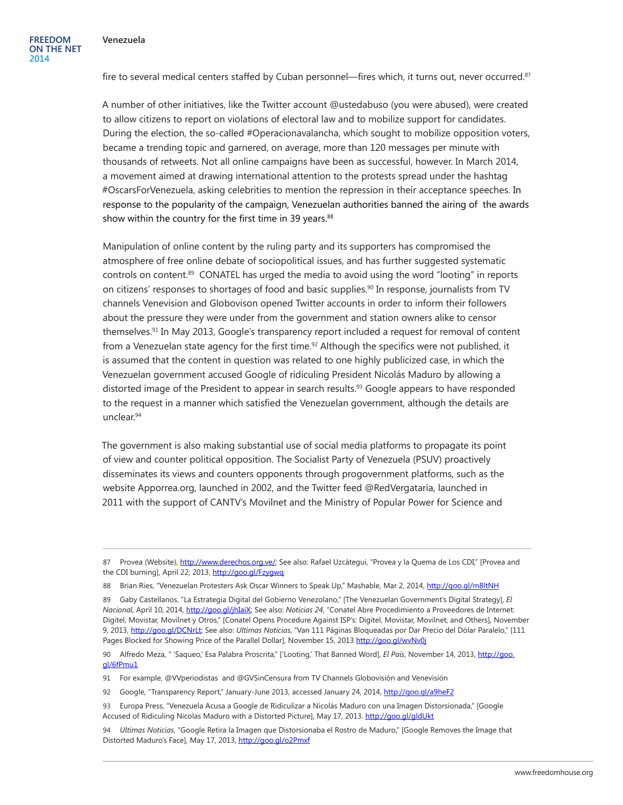fire to several medical centers staffed by Cuban personnel—fires which, it turns out, never occurred.<sup>87</sup>

A number of other initiatives, like the Twitter account @ustedabuso (you were abused), were created to allow citizens to report on violations of electoral law and to mobilize support for candidates. During the election, the so-called #Operacionavalancha, which sought to mobilize opposition voters, became a trending topic and garnered, on average, more than 120 messages per minute with thousands of retweets. Not all online campaigns have been as successful, however. In March 2014, a movement aimed at drawing international attention to the protests spread under the hashtag #OscarsForVenezuela, asking celebrities to mention the repression in their acceptance speeches. In response to the popularity of the campaign, Venezuelan authorities banned the airing of the awards show within the country for the first time in 39 years.<sup>88</sup>

Manipulation of online content by the ruling party and its supporters has compromised the atmosphere of free online debate of sociopolitical issues, and has further suggested systematic controls on content.89 CONATEL has urged the media to avoid using the word "looting" in reports on citizens' responses to shortages of food and basic supplies.<sup>90</sup> In response, journalists from TV channels Venevision and Globovison opened Twitter accounts in order to inform their followers about the pressure they were under from the government and station owners alike to censor themselves.91 In May 2013, Google's transparency report included a request for removal of content from a Venezuelan state agency for the first time.<sup>92</sup> Although the specifics were not published, it is assumed that the content in question was related to one highly publicized case, in which the Venezuelan government accused Google of ridiculing President Nicolás Maduro by allowing a distorted image of the President to appear in search results.<sup>93</sup> Google appears to have responded to the request in a manner which satisfied the Venezuelan government, although the details are unclear.94

The government is also making substantial use of social media platforms to propagate its point of view and counter political opposition. The Socialist Party of Venezuela (PSUV) proactively disseminates its views and counters opponents through progovernment platforms, such as the website Apporrea.org, launched in 2002, and the Twitter feed @RedVergataria, launched in 2011 with the support of CANTV's Movilnet and the Ministry of Popular Power for Science and

91 For example, @VVperiodistas and @GVSinCensura from TV Channels Globovisión and Venevisión

92 Google, "Transparency Report," January-June 2013, accessed January 24, 2014,<http://goo.gl/a9heF2>

<sup>87</sup> Provea (Website), [http://www.derechos.org.ve/;](http://www.derechos.org.ve/) See also: Rafael Uzcátegui, "Provea y la Quema de Los CDI," [Provea and the CDI burning], April 22, 2013,<http://goo.gl/Fzygwq>

<sup>88</sup> Brian Ries, "Venezuelan Protesters Ask Oscar Winners to Speak Up," Mashable, Mar 2, 2014, <http://goo.gl/m8ltNH>

<sup>89</sup> Gaby Castellanos, "La Estrategia Digital del Gobierno Venezolano," [The Venezuelan Government's Digital Strategy], *El Nacional*, April 10, 2014, [http://goo.gl/jhIaiX;](http://goo.gl/jhIaiX) See also: *Noticias 24*, "Conatel Abre Procedimiento a Proveedores de Internet: Digitel, Movistar, Movilnet y Otros," [Conatel Opens Procedure Against ISP's: Digitel, Movistar, Movilnet, and Others], November 9, 2013, [http://goo.gl/DCNrLt;](http://goo.gl/DCNrLt) See also: *Ultimas Noticias*, "Van 111 Páginas Bloqueadas por Dar Precio del Dólar Paralelo," [111 Pages Blocked for Showing Price of the Parallel Dollar], November 15, 2013<http://goo.gl/wvNv0j>

<sup>90</sup> Alfredo Meza, " 'Saqueo,' Esa Palabra Proscrita," ['Looting,' That Banned Word], *El País*, November 14, 2013, [http://goo.](http://goo.gl/6fPmu1) [gl/6fPmu1](http://goo.gl/6fPmu1)

<sup>93</sup> Europa Press, "Venezuela Acusa a Google de Ridiculizar a Nicolás Maduro con una Imagen Distorsionada," [Google Accused of Ridiculing Nicolas Maduro with a Distorted Picture], May 17, 2013. <http://goo.gl/gldUkt>

<sup>94</sup> *Ultimas Noticias*, "Google Retira la Imagen que Distorsionaba el Rostro de Maduro," [Google Removes the Image that Distorted Maduro's Face], May 17, 2013, <http://goo.gl/o2Pmxf>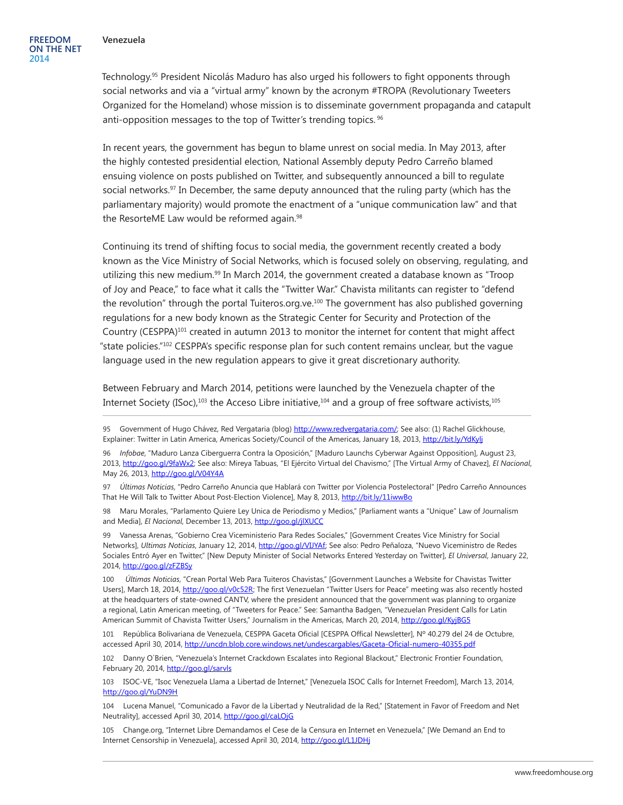Technology.95 President Nicolás Maduro has also urged his followers to fight opponents through social networks and via a "virtual army" known by the acronym #TROPA (Revolutionary Tweeters Organized for the Homeland) whose mission is to disseminate government propaganda and catapult anti-opposition messages to the top of Twitter's trending topics. <sup>96</sup>

In recent years, the government has begun to blame unrest on social media. In May 2013, after the highly contested presidential election, National Assembly deputy Pedro Carreño blamed ensuing violence on posts published on Twitter, and subsequently announced a bill to regulate social networks.<sup>97</sup> In December, the same deputy announced that the ruling party (which has the parliamentary majority) would promote the enactment of a "unique communication law" and that the ResorteME Law would be reformed again.<sup>98</sup>

Continuing its trend of shifting focus to social media, the government recently created a body known as the Vice Ministry of Social Networks, which is focused solely on observing, regulating, and utilizing this new medium. $99$  In March 2014, the government created a database known as "Troop of Joy and Peace," to face what it calls the "Twitter War." Chavista militants can register to "defend the revolution" through the portal Tuiteros.org.ve.100 The government has also published governing regulations for a new body known as the Strategic Center for Security and Protection of the Country (CESPPA)101 created in autumn 2013 to monitor the internet for content that might affect "state policies."102 CESPPA's specific response plan for such content remains unclear, but the vague language used in the new regulation appears to give it great discretionary authority.

Between February and March 2014, petitions were launched by the Venezuela chapter of the Internet Society (ISoc),<sup>103</sup> the Acceso Libre initiative,<sup>104</sup> and a group of free software activists,<sup>105</sup>

98 Maru Morales, "Parlamento Quiere Ley Unica de Periodismo y Medios," [Parliament wants a "Unique" Law of Journalism and Media], *El Nacional*, December 13, 2013,<http://goo.gl/jlXUCC>

99 Vanessa Arenas, "Gobierno Crea Viceministerio Para Redes Sociales," [Government Creates Vice Ministry for Social Networks], *Ultimas Noticias*, January 12, 2014, [http://goo.gl/VIJYAf;](http://goo.gl/VIJYAf) See also: Pedro Peñaloza, "Nuevo Viceministro de Redes Sociales Entró Ayer en Twitter," [New Deputy Minister of Social Networks Entered Yesterday on Twitter], *El Universal*, January 22, 2014, http://goo.gl/zFZBSy

100 *Últimas Noticias*, "Crean Portal Web Para Tuiteros Chavistas," [Government Launches a Website for Chavistas Twitter Users], March 18, 2014, <http://goo.gl/v0c52R>; The first Venezuelan "Twitter Users for Peace" meeting was also recently hosted at the headquarters of state-owned CANTV, where the president announced that the government was planning to organize a regional, Latin American meeting, of "Tweeters for Peace." See: Samantha Badgen, "Venezuelan President Calls for Latin American Summit of Chavista Twitter Users," Journalism in the Americas, March 20, 2014, <http://goo.gl/KyjBG5>

101 República Bolivariana de Venezuela, CESPPA Gaceta Oficial [CESPPA Offical Newsletter], Nº 40.279 del 24 de Octubre, accessed April 30, 2014, <http://uncdn.blob.core.windows.net/undescargables/Gaceta-Oficial-numero-40355.pdf>

102 Danny O´Brien, "Venezuela's Internet Crackdown Escalates into Regional Blackout," Electronic Frontier Foundation, February 20, 2014,<http://goo.gl/sarvls>

103 ISOC-VE, "Isoc Venezuela Llama a Libertad de Internet," [Venezuela ISOC Calls for Internet Freedom], March 13, 2014, <http://goo.gl/YuDN9H>

104 Lucena Manuel, "Comunicado a Favor de la Libertad y Neutralidad de la Red," [Statement in Favor of Freedom and Net Neutrality], accessed April 30, 2014,<http://goo.gl/caLOjG>

105 Change.org, "Internet Libre Demandamos el Cese de la Censura en Internet en Venezuela," [We Demand an End to Internet Censorship in Venezuela], accessed April 30, 2014, http://goo.gl/L1JDHi

<sup>95</sup> Government of Hugo Chávez, Red Vergataria (blog) <http://www.redvergataria.com/>; See also: (1) Rachel Glickhouse, Explainer: Twitter in Latin America, Americas Society/Council of the Americas, January 18, 2013, <http://bit.ly/YdKylj>

<sup>96</sup> *Infobae*, "Maduro Lanza Ciberguerra Contra la Oposición," [Maduro Launchs Cyberwar Against Opposition], August 23, 2013, [http://goo.gl/9faWx2;](http://goo.gl/9faWx2) See also: Mireya Tabuas, "El Ejército Virtual del Chavismo," [The Virtual Army of Chavez], *El Nacional*, May 26, 2013,<http://goo.gl/V04Y4A>

<sup>97</sup> *Últimas Noticias*, "Pedro Carreño Anuncia que Hablará con Twitter por Violencia Postelectoral" [Pedro Carreño Announces That He Will Talk to Twitter About Post-Election Violence], May 8, 2013, <http://bit.ly/11iwwBo>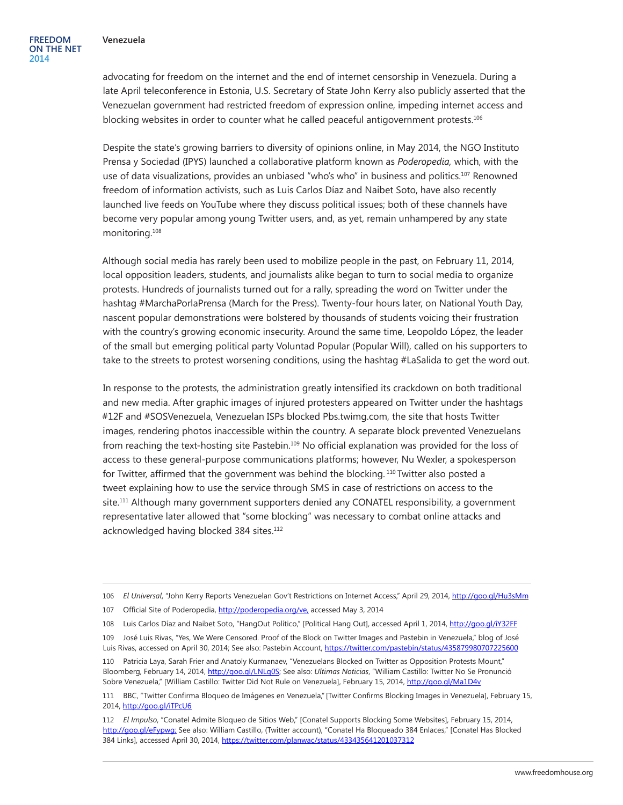advocating for freedom on the internet and the end of internet censorship in Venezuela. During a late April teleconference in Estonia, U.S. Secretary of State John Kerry also publicly asserted that the Venezuelan government had restricted freedom of expression online, impeding internet access and blocking websites in order to counter what he called peaceful antigovernment protests.<sup>106</sup>

Despite the state's growing barriers to diversity of opinions online, in May 2014, the NGO Instituto Prensa y Sociedad (IPYS) launched a collaborative platform known as *Poderopedia,* which, with the use of data visualizations, provides an unbiased "who's who" in business and politics.<sup>107</sup> Renowned freedom of information activists, such as Luis Carlos Díaz and Naibet Soto, have also recently launched live feeds on YouTube where they discuss political issues; both of these channels have become very popular among young Twitter users, and, as yet, remain unhampered by any state monitoring.108

Although social media has rarely been used to mobilize people in the past, on February 11, 2014, local opposition leaders, students, and journalists alike began to turn to social media to organize protests. Hundreds of journalists turned out for a rally, spreading the word on Twitter under the hashtag #MarchaPorlaPrensa (March for the Press). Twenty-four hours later, on National Youth Day, nascent popular demonstrations were bolstered by thousands of students voicing their frustration with the country's growing economic insecurity. Around the same time, Leopoldo López, the leader of the small but emerging political party Voluntad Popular (Popular Will), called on his supporters to take to the streets to protest worsening conditions, using the hashtag #LaSalida to get the word out.

In response to the protests, the administration greatly intensified its crackdown on both traditional and new media. After graphic images of injured protesters appeared on Twitter under the hashtags #12F and #SOSVenezuela, Venezuelan ISPs blocked Pbs.twimg.com, the site that hosts Twitter images, rendering photos inaccessible within the country. A separate block prevented Venezuelans from reaching the text-hosting site [Pastebin.](https://medium.com/des-venezuela/1a0c71136371)<sup>109</sup> No official explanation was provided for the loss of access to these general-purpose communications platforms; however, Nu Wexler, a spokesperson for Twitter, affirmed that the government was behind the blocking. <sup>110</sup> Twitter also posted a tweet explaining how to use the service through SMS in case of restrictions on access to the site.111 Although many government supporters denied any CONATEL responsibility, a government representative later allowed that "some blocking" was necessary to combat online attacks and acknowledged having blocked 384 sites.<sup>112</sup>

109 José Luis Rivas, "Yes, We Were Censored. Proof of the Block on Twitter Images and Pastebin in Venezuela," blog of José Luis Rivas, accessed on April 30, 2014; See also: Pastebin Account, <https://twitter.com/pastebin/status/435879980707225600>

<sup>106</sup> *El Universal*, "John Kerry Reports Venezuelan Gov't Restrictions on Internet Access," April 29, 2014,<http://goo.gl/Hu3sMm>

<sup>107</sup> Official Site of Poderopedia, [http://poderopedia.org/ve,](http://poderopedia.org/ve) accessed May 3, 2014

<sup>108</sup> Luis Carlos Díaz and Naibet Soto, "HangOut Político," [Political Hang Out], accessed April 1, 2014,<http://goo.gl/iY32FF>

<sup>110</sup> Patricia Laya, Sarah Frier and Anatoly Kurmanaev, "Venezuelans Blocked on Twitter as Opposition Protests Mount," Bloomberg, February 14, 2014, [http://goo.gl/LNLq0S;](http://goo.gl/LNLq0S) See also: *Ultimas Noticias*, "William Castillo: Twitter No Se Pronunció Sobre Venezuela," [William Castillo: Twitter Did Not Rule on Venezuela], February 15, 2014,<http://goo.gl/Ma1D4v>

<sup>111</sup> BBC, "Twitter Confirma Bloqueo de Imágenes en Venezuela,"[Twitter Confirms Blocking Images in Venezuela], February 15, 2014, <http://goo.gl/iTPcU6>

<sup>112</sup> *El Impulso*, "Conatel Admite Bloqueo de Sitios Web," [Conatel Supports Blocking Some Websites], February 15, 2014, [http://goo.gl/eFypwg;](http://goo.gl/eFypwg) See also: William Castillo, (Twitter account), "Conatel Ha Bloqueado 384 Enlaces," [Conatel Has Blocked 384 Links], accessed April 30, 2014, <https://twitter.com/planwac/status/433435641201037312>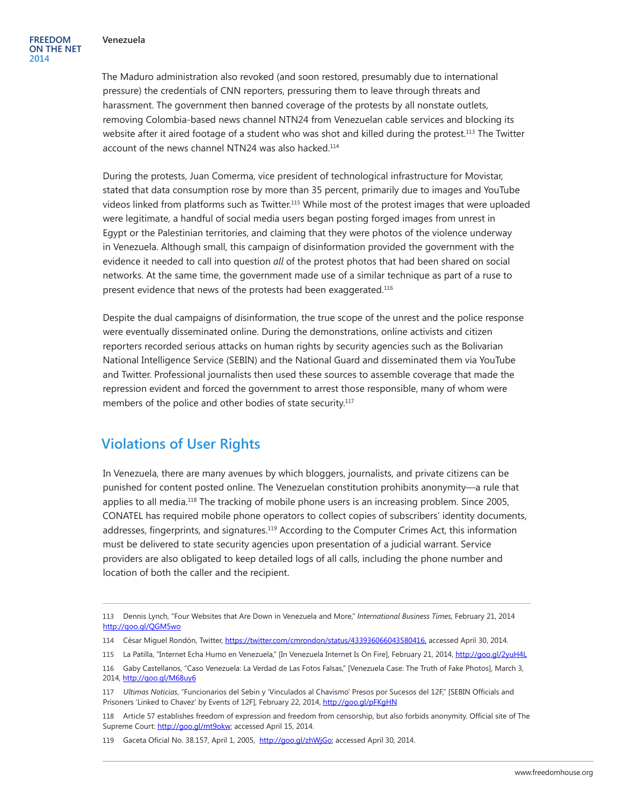The Maduro administration also revoked (and soon restored, presumably due to international pressure) the credentials of CNN reporters, pressuring them to leave through threats and harassment. The government then banned coverage of the protests by all nonstate outlets, removing Colombia-based news channel [NTN24](http://abcnews.go.com/Technology/wireStory/internet-crucial-venezuela-battleground-22612266) from Venezuelan cable services and blocking its website after it aired footage of a student who was shot and killed during the protest.<sup>113</sup> The Twitter account of the news channel NTN24 was also hacked.114

During the protests, Juan Comerma, vice president of technological infrastructure for Movistar, stated that data consumption rose by more than 35 percent, primarily due to images and YouTube videos linked from platforms such as Twitter.115 While most of the protest images that were uploaded were legitimate, a handful of social media users began posting forged images from unrest in Egypt or the Palestinian territories, and claiming that they were photos of the violence underway in Venezuela. Although small, this campaign of disinformation provided the government with the evidence it needed to call into question *all* of the protest photos that had been shared on social networks. At the same time, the government made use of a similar technique as part of a ruse to present evidence that news of the protests had been exaggerated.<sup>116</sup>

Despite the dual campaigns of disinformation, the true scope of the unrest and the police response were eventually disseminated online. During the demonstrations, online activists and citizen reporters recorded serious attacks on human rights by security agencies such as the Bolivarian National Intelligence Service (SEBIN) and the National Guard and disseminated them via YouTube and Twitter. Professional journalists then used these sources to assemble coverage that made the repression evident and forced the government to arrest those responsible, many of whom were members of the police and other bodies of state security.<sup>117</sup>

#### **Violations of User Rights**

In Venezuela, there are many avenues by which bloggers, journalists, and private citizens can be punished for content posted online. The Venezuelan constitution prohibits anonymity—a rule that applies to all media.118 The tracking of mobile phone users is an increasing problem. Since 2005, CONATEL has required mobile phone operators to collect copies of subscribers' identity documents, addresses, fingerprints, and signatures.119 According to the Computer Crimes Act, this information must be delivered to state security agencies upon presentation of a judicial warrant. Service providers are also obligated to keep detailed logs of all calls, including the phone number and location of both the caller and the recipient.

<sup>113</sup> Dennis Lynch, "Four Websites that Are Down in Venezuela and More," *International Business Times*, February 21, 2014 <http://goo.gl/QGM5wo>

<sup>114</sup> César Miguel Rondón, Twitter, [https://twitter.com/cmrondon/status/433936066043580416,](https://twitter.com/cmrondon/status/433936066043580416) accessed April 30, 2014.

<sup>115</sup> La Patilla, "Internet Echa Humo en Venezuela," [In Venezuela Internet Is On Fire], February 21, 2014, <http://goo.gl/2yuH4L>

<sup>116</sup> Gaby Castellanos, "Caso Venezuela: La Verdad de Las Fotos Falsas," [Venezuela Case: The Truth of Fake Photos], March 3, 2014, <http://goo.gl/M68uy6>

<sup>117</sup> *Ultimas Noticias*, "Funcionarios del Sebin y 'Vinculados al Chavismo' Presos por Sucesos del 12F," [SEBIN Officials and Prisoners 'Linked to Chavez' by Events of 12F], February 22, 2014, <http://goo.gl/pFKgHN>

<sup>118</sup> Article 57 establishes freedom of expression and freedom from censorship, but also forbids anonymity. Official site of The Supreme Court: [http://goo.gl/mt9okw;](http://goo.gl/mt9okw) accessed April 15, 2014.

<sup>119</sup> Gaceta Oficial No. 38.157, April 1, 2005, <http://goo.gl/zhWjGo>; accessed April 30, 2014.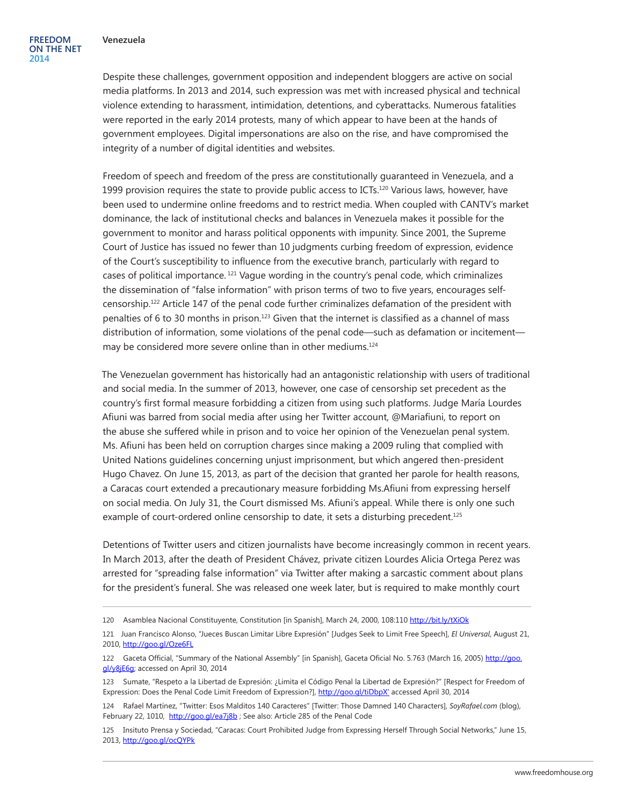Despite these challenges, government opposition and independent bloggers are active on social media platforms. In 2013 and 2014, such expression was met with increased physical and technical violence extending to harassment, intimidation, detentions, and cyberattacks. Numerous fatalities were reported in the early 2014 protests, many of which appear to have been at the hands of government employees. Digital impersonations are also on the rise, and have compromised the integrity of a number of digital identities and websites.

Freedom of speech and freedom of the press are constitutionally guaranteed in Venezuela, and a 1999 provision requires the state to provide public access to ICTs. $120$  Various laws, however, have been used to undermine online freedoms and to restrict media. When coupled with CANTV's market dominance, the lack of institutional checks and balances in Venezuela makes it possible for the government to monitor and harass political opponents with impunity. Since 2001, the Supreme Court of Justice has issued no fewer than 10 judgments curbing freedom of expression, evidence of the Court's susceptibility to influence from the executive branch, particularly with regard to cases of political importance. 121 Vague wording in the country's penal code, which criminalizes the dissemination of "false information" with prison terms of two to five years, encourages selfcensorship.122 Article 147 of the penal code further criminalizes defamation of the president with penalties of 6 to 30 months in prison.<sup>123</sup> Given that the internet is classified as a channel of mass distribution of information, some violations of the penal code—such as defamation or incitement may be considered more severe online than in other mediums.<sup>124</sup>

The Venezuelan government has historically had an antagonistic relationship with users of traditional and social media. In the summer of 2013, however, one case of censorship set precedent as the country's first formal measure forbidding a citizen from using such platforms. Judge María Lourdes Afiuni was barred from social media after using her Twitter account, @Mariafiuni, to report on the abuse she suffered while in prison and to voice her opinion of the Venezuelan penal system. Ms. Afiuni has been held on corruption charges since making a 2009 ruling that complied with United Nations guidelines concerning unjust imprisonment, but which angered then-president Hugo Chavez. On June 15, 2013, as part of the decision that granted her parole for health reasons, a Caracas court extended a precautionary measure forbidding Ms.Afiuni from expressing herself on social media. On July 31, the Court dismissed Ms. Afiuni's appeal. While there is only one such example of court-ordered online censorship to date, it sets a disturbing precedent.<sup>125</sup>

Detentions of Twitter users and citizen journalists have become increasingly common in recent years. In March 2013, after the death of President Chávez, private citizen Lourdes Alicia Ortega Perez was arrested for "spreading false information" via Twitter after making a sarcastic comment about plans for the president's funeral. She was released one week later, but is required to make monthly court

<sup>120</sup> Asamblea Nacional Constituyente, Constitution [in Spanish], March 24, 2000, 108:110 <http://bit.ly/tXiOk>

<sup>121</sup> Juan Francisco Alonso, "Jueces Buscan Limitar Libre Expresión" [Judges Seek to Limit Free Speech], *El Universal*, August 21, 2010, <http://goo.gl/Oze6FL>

<sup>122</sup> Gaceta Official, "Summary of the National Assembly" [in Spanish], Gaceta Oficial No. 5.763 (March 16, 2005) [http://goo.](http://goo.gl/y8jE6g) [gl/y8jE6g;](http://goo.gl/y8jE6g) accessed on April 30, 2014

<sup>123</sup> Sumate, "Respeto a la Libertad de Expresión: ¿Limita el Código Penal la Libertad de Expresión?" [Respect for Freedom of Expression: Does the Penal Code Limit Freedom of Expression?], [http://goo.gl/tiDbpX'](http://goo.gl/tiDbpX) accessed April 30, 2014

<sup>124</sup> Rafael Martínez, "Twitter: Esos Malditos 140 Caracteres" [Twitter: Those Damned 140 Characters], *SoyRafael.com* (blog), February 22, 1010, <http://goo.gl/ea7j8b> ; See also: Article 285 of the Penal Code

<sup>125</sup> Insituto Prensa y Sociedad, "Caracas: Court Prohibited Judge from Expressing Herself Through Social Networks," June 15, 2013, <http://goo.gl/ocQYPk>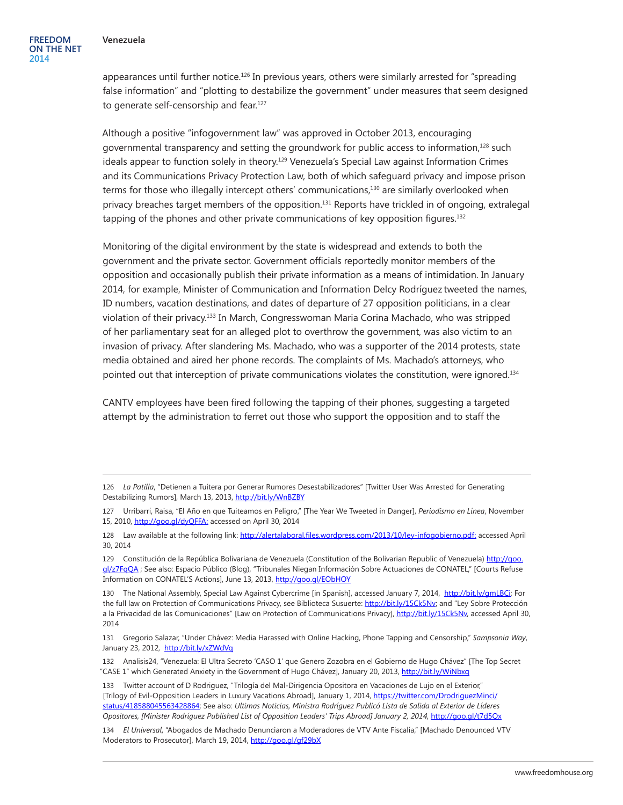appearances until further notice.<sup>126</sup> In previous years, others were similarly arrested for "spreading false information" and "plotting to destabilize the government" under measures that seem designed to generate self-censorship and fear.<sup>127</sup>

Although a positive "infogovernment law" was approved in October 2013, encouraging governmental transparency and setting the groundwork for public access to information,<sup>128</sup> such ideals appear to function solely in theory.<sup>129</sup> Venezuela's Special Law against Information Crimes and its Communications Privacy Protection Law, both of which safeguard privacy and impose prison terms for those who illegally intercept others' communications,<sup>130</sup> are similarly overlooked when privacy breaches target members of the opposition.131 Reports have trickled in of ongoing, extralegal tapping of the phones and other private communications of key opposition figures.<sup>132</sup>

Monitoring of the digital environment by the state is widespread and extends to both the government and the private sector. Government officials reportedly monitor members of the opposition and occasionally publish their private information as a means of intimidation. In January 2014, for example, Minister of Communication and Information Delcy Rodríguez tweeted the names, ID numbers, vacation destinations, and dates of departure of 27 opposition politicians, in a clear violation of their privacy.133 In March, Congresswoman Maria Corina Machado, who was stripped of her parliamentary seat for an alleged plot to overthrow the government, was also victim to an invasion of privacy. After slandering Ms. Machado, who was a supporter of the 2014 protests, state media obtained and aired her phone records. The complaints of Ms. Machado's attorneys, who pointed out that interception of private communications violates the constitution, were ignored.134

CANTV employees have been fired following the tapping of their phones, suggesting a targeted attempt by the administration to ferret out those who support the opposition and to staff the

<sup>126</sup> *La Patilla*, "Detienen a Tuitera por Generar Rumores Desestabilizadores" [Twitter User Was Arrested for Generating Destabilizing Rumors], March 13, 2013,<http://bit.ly/WnBZBY>

<sup>127</sup> Urribarrí, Raisa, "El Año en que Tuiteamos en Peligro," [The Year We Tweeted in Danger], *Periodismo en Línea*, November 15, 2010,<http://goo.gl/dyQFFA>; accessed on April 30, 2014

<sup>128</sup> Law available at the following link: <http://alertalaboral.files.wordpress.com/2013/10/ley-infogobierno.pdf>: accessed April 30, 2014

<sup>129</sup> Constitución de la República Bolivariana de Venezuela (Constitution of the Bolivarian Republic of Venezuela) [http://goo.](http://goo.gl/z7FqQA) [gl/z7FqQA](http://goo.gl/z7FqQA) ; See also: Espacio Público (Blog), "Tribunales Niegan Información Sobre Actuaciones de CONATEL," [Courts Refuse Information on CONATEL'S Actions], June 13, 2013, <http://goo.gl/EObHOY>

<sup>130</sup> The National Assembly, Special Law Against Cybercrime [in Spanish], accessed January 7, 2014, <http://bit.ly/gmLBCi>; For the full law on Protection of Communications Privacy, see Biblioteca Susuerte: <http://bit.ly/15Ck5Nv>; and "Ley Sobre Protección a la Privacidad de las Comunicaciones" [Law on Protection of Communications Privacy], <http://bit.ly/15Ck5Nv>, accessed April 30, 2014

<sup>131</sup> Gregorio Salazar, "Under Chávez: Media Harassed with Online Hacking, Phone Tapping and Censorship," *Sampsonia Way*, January 23, 2012, <http://bit.ly/xZWdVq>

<sup>132</sup> Analisis24, "Venezuela: El Ultra Secreto 'CASO 1' que Genero Zozobra en el Gobierno de Hugo Chávez" [The Top Secret "CASE 1" which Generated Anxiety in the Government of Hugo Chávez], January 20, 2013, <http://bit.ly/WiNbxq>

<sup>133</sup> Twitter account of D Rodriguez, "Trilogía del Mal-Dirigencia Opositora en Vacaciones de Lujo en el Exterior," [Trilogy of Evil-Opposition Leaders in Luxury Vacations Abroad], January 1, 2014, [https://twitter.com/DrodriguezMinci/](https://twitter.com/DrodriguezMinci/status/418588045563428864) [status/418588045563428864](https://twitter.com/DrodriguezMinci/status/418588045563428864); See also: *Ultimas Noticias, Ministra Rodríguez Publicó Lista de Salida al Exterior de Líderes Opositores, [Minister Rodríguez Published List of Opposition Leaders' Trips Abroad] January 2, 2014,* <http://goo.gl/t7d5Qx>

<sup>134</sup> *El Universal*, "Abogados de Machado Denunciaron a Moderadores de VTV Ante Fiscalía," [Machado Denounced VTV Moderators to Prosecutor], March 19, 2014, <http://goo.gl/gf29bX>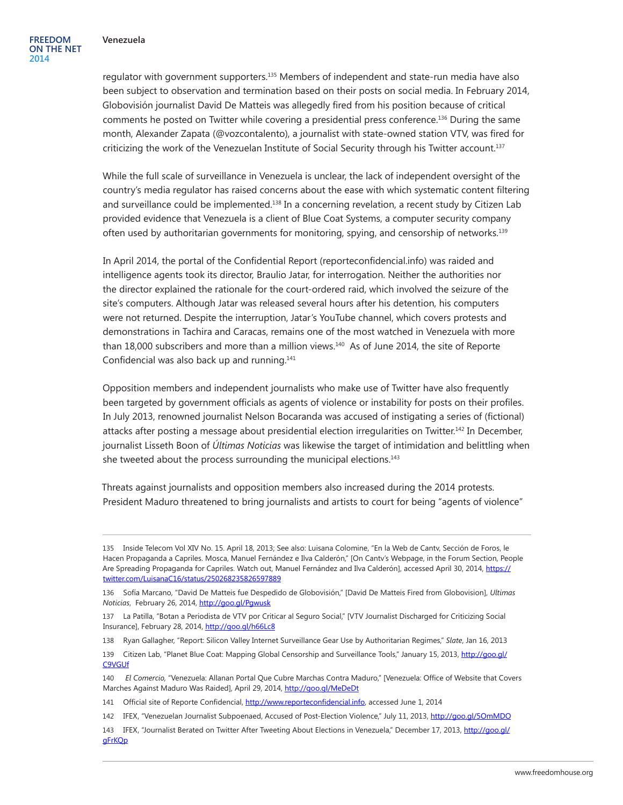regulator with government supporters.135 Members of independent and state-run media have also been subject to observation and termination based on their posts on social media. In February 2014, Globovisión journalist David De Matteis was allegedly fired from his position because of critical comments he posted on Twitter while covering a presidential press conference.136 During the same month, Alexander Zapata (@vozcontalento), a journalist with state-owned station VTV, was fired for criticizing the work of the Venezuelan Institute of Social Security through his Twitter account.137

While the full scale of surveillance in Venezuela is unclear, the lack of independent oversight of the country's media regulator has raised concerns about the ease with which systematic content filtering and surveillance could be implemented.<sup>138</sup> In a concerning revelation, a recent study by Citizen Lab provided evidence that Venezuela is a client of Blue Coat Systems, a computer security company often used by authoritarian governments for monitoring, spying, and censorship of networks.139

In April 2014, the portal of the Confidential Report (reporteconfidencial.info) was raided and intelligence agents took its director, Braulio Jatar, for interrogation. Neither the authorities nor the director explained the rationale for the court-ordered raid, which involved the seizure of the site's computers. Although Jatar was released several hours after his detention, his computers were not returned. Despite the interruption, Jatar's YouTube channel, which covers protests and demonstrations in Tachira and Caracas, remains one of the most watched in Venezuela with more than 18,000 subscribers and more than a million views.<sup>140</sup> As of June 2014, the site of Reporte Confidencial was also back up and running.<sup>141</sup>

Opposition members and independent journalists who make use of Twitter have also frequently been targeted by government officials as agents of violence or instability for posts on their profiles. In July 2013, renowned journalist Nelson Bocaranda was accused of instigating a series of (fictional) attacks after posting a message about presidential election irregularities on Twitter.<sup>142</sup> In December, journalist Lisseth Boon of *Últimas Noticias* was likewise the target of intimidation and belittling when she tweeted about the process surrounding the municipal elections.<sup>143</sup>

Threats against journalists and opposition members also increased during the 2014 protests. President Maduro threatened to bring journalists and artists to court for being "agents of violence"

<sup>135</sup> Inside Telecom Vol XIV No. 15. April 18, 2013; See also: Luisana Colomine, "En la Web de Cantv, Sección de Foros, le Hacen Propaganda a Capriles. Mosca, Manuel Fernández e Ilva Calderón," [On Cantv's Webpage, in the Forum Section, People Are Spreading Propaganda for Capriles. Watch out, Manuel Fernández and Ilva Calderón], accessed April 30, 2014, [https://](https://twitter.com/LuisanaC16/status/250268235826597889) [twitter.com/LuisanaC16/status/250268235826597889](https://twitter.com/LuisanaC16/status/250268235826597889)

<sup>136</sup> Sofía Marcano, "David De Matteis fue Despedido de Globovisión," [David De Matteis Fired from Globovision], *Ultimas Noticias*, February 26, 2014, <http://goo.gl/Pgwusk>

<sup>137</sup> La Patilla, "Botan a Periodista de VTV por Criticar al Seguro Social," [VTV Journalist Discharged for Criticizing Social Insurance], February 28, 2014, <http://goo.gl/h66Lc8>

<sup>138</sup> Ryan Gallagher, "Report: Silicon Valley Internet Surveillance Gear Use by Authoritarian Regimes," *Slate*, Jan 16, 2013

<sup>139</sup> Citizen Lab, "Planet Blue Coat: Mapping Global Censorship and Surveillance Tools," January 15, 2013, [http://goo.gl/](http://goo.gl/C9VGUf) [C9VGUf](http://goo.gl/C9VGUf)

<sup>140</sup>*El Comercio,* "Venezuela: Allanan Portal Que Cubre Marchas Contra Maduro," [Venezuela: Office of Website that Covers Marches Against Maduro Was Raided], April 29, 2014, <http://goo.gl/MeDeDt>

<sup>141</sup> Official site of Reporte Confidencial,<http://www.reporteconfidencial.info>, accessed June 1, 2014

<sup>142</sup> IFEX, "Venezuelan Journalist Subpoenaed, Accused of Post-Election Violence," July 11, 2013,<http://goo.gl/5OmMDO>

<sup>143</sup> IFEX, "Journalist Berated on Twitter After Tweeting About Elections in Venezuela," December 17, 2013, [http://goo.gl/](http://goo.gl/gFrKQp) [gFrKQp](http://goo.gl/gFrKQp)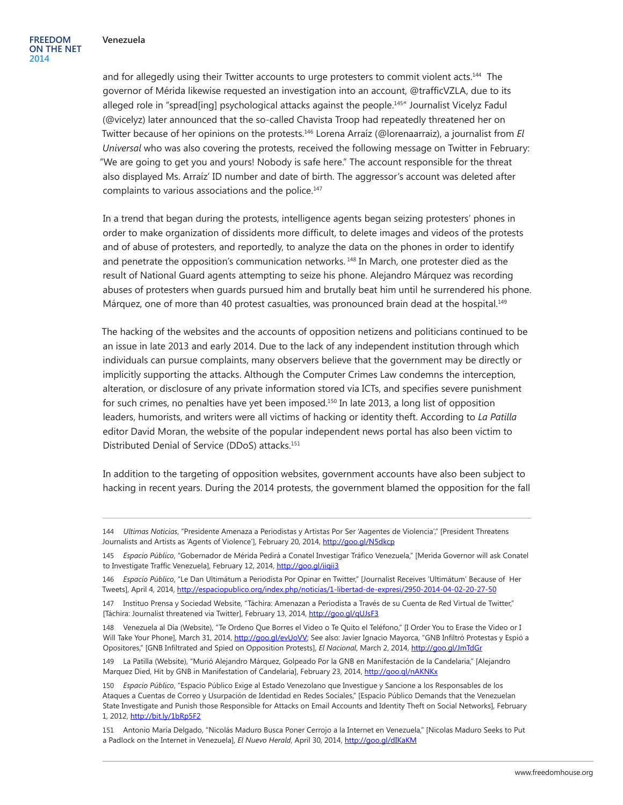and for allegedly using their Twitter accounts to urge protesters to commit violent acts.144 The governor of Mérida likewise requested an investigation into an account, @trafficVZLA, due to its alleged role in "spread[ing] psychological attacks against the people.<sup>145</sup> Journalist Vicelyz Fadul (@vicelyz) later announced that the so-called Chavista Troop had repeatedly threatened her on Twitter because of her opinions on the protests.146 Lorena Arraíz (@lorenaarraiz), a journalist from *El Universal* who was also covering the protests, received the following message on Twitter in February: "We are going to get you and yours! Nobody is safe here." The account responsible for the threat also displayed Ms. Arraíz' ID number and date of birth. The aggressor's account was deleted after complaints to various associations and the police.<sup>147</sup>

In a trend that began during the protests, intelligence agents began seizing protesters' phones in order to make organization of dissidents more difficult, to delete images and videos of the protests and of abuse of protesters, and reportedly, to analyze the data on the phones in order to identify and penetrate the opposition's communication networks.<sup>148</sup> In March, one protester died as the result of National Guard agents attempting to seize his phone. Alejandro Márquez was recording abuses of protesters when guards pursued him and brutally beat him until he surrendered his phone. Márquez, one of more than 40 protest casualties, was pronounced brain dead at the hospital.<sup>149</sup>

The hacking of the websites and the accounts of opposition netizens and politicians continued to be an issue in late 2013 and early 2014. Due to the lack of any independent institution through which individuals can pursue complaints, many observers believe that the government may be directly or implicitly supporting the attacks. Although the Computer Crimes Law condemns the interception, alteration, or disclosure of any private information stored via ICTs, and specifies severe punishment for such crimes, no penalties have yet been imposed.<sup>150</sup> In late 2013, a long list of opposition leaders, humorists, and writers were all victims of hacking or identity theft. According to *La Patilla* editor David Moran, the website of the popular independent news portal has also been victim to Distributed Denial of Service (DDoS) attacks.151

In addition to the targeting of opposition websites, government accounts have also been subject to hacking in recent years. During the 2014 protests, the government blamed the opposition for the fall

<sup>144</sup> *Ultimas Noticias*, "Presidente Amenaza a Periodistas y Artistas Por Ser 'Aagentes de Violencia'," [President Threatens Journalists and Artists as 'Agents of Violence'], February 20, 2014,<http://goo.gl/N5dkcp>

<sup>145</sup> *Espacio Público*, "Gobernador de Mérida Pedirá a Conatel Investigar Tráfico Venezuela," [Merida Governor will ask Conatel to Investigate Traffic Venezuela], February 12, 2014, <http://goo.gl/iiqii3>

<sup>146</sup> *Espacio Público*, "Le Dan Ultimátum a Periodista Por Opinar en Twitter," [Journalist Receives 'Ultimátum' Because of Her Tweets], April 4, 2014,<http://espaciopublico.org/index.php/noticias/1-libertad-de-expresi/2950-2014-04-02-20-27-50>

<sup>147</sup> Instituo Prensa y Sociedad Website, "Táchira: Amenazan a Periodista a Través de su Cuenta de Red Virtual de Twitter," [Táchira: Journalist threatened via Twitter], February 13, 2014, <http://goo.gl/qUJsF3>

<sup>148</sup> Venezuela al Día (Website), "Te Ordeno Que Borres el Video o Te Quito el Teléfono," [I Order You to Erase the Video or I Will Take Your Phone], March 31, 2014, [http://goo.gl/evUoVV;](http://goo.gl/evUoVV) See also: Javier Ignacio Mayorca, "GNB Infiltró Protestas y Espió a Opositores," [GNB Infiltrated and Spied on Opposition Protests], *El Nacional*, March 2, 2014,<http://goo.gl/JmTdGr>

<sup>149</sup> La Patilla (Website), "Murió Alejandro Márquez, Golpeado Por la GNB en Manifestación de la Candelaria," [Alejandro Marquez Died, Hit by GNB in Manifestation of Candelaria], February 23, 2014, <http://goo.gl/nAKNKx>

<sup>150</sup> *Espacio Público*, "Espacio Público Exige al Estado Venezolano que Investigue y Sancione a los Responsables de los Ataques a Cuentas de Correo y Usurpación de Identidad en Redes Sociales," [Espacio Público Demands that the Venezuelan State Investigate and Punish those Responsible for Attacks on Email Accounts and Identity Theft on Social Networks], February 1, 2012,<http://bit.ly/1bRp5F2>

<sup>151</sup> Antonio María Delgado, "Nicolás Maduro Busca Poner Cerrojo a la Internet en Venezuela," [Nicolas Maduro Seeks to Put a Padlock on the Internet in Venezuela], *El Nuevo Herald*, April 30, 2014, <http://goo.gl/dIKaKM>